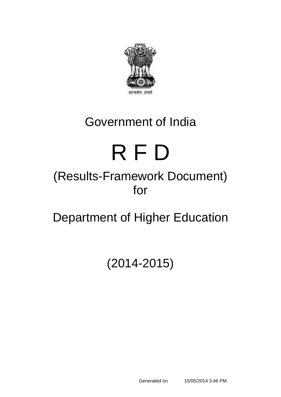

# Government of India

# R F D

# (Results-Framework Document) for

Department of Higher Education

# (2014-2015)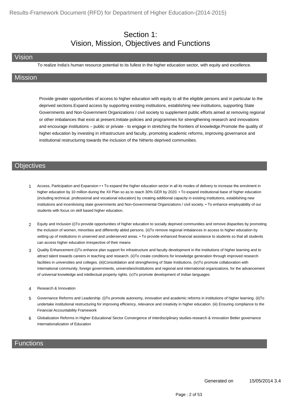#### Section 1: Vision, Mission, Objectives and Functions

#### Vision

To realize India's human resource potential to its fullest in the higher education sector, with equity and excellence.

#### **Mission**

Provide greater opportunities of access to higher education with equity to all the eligible persons and in particular to the deprived sections.Expand access by supporting existing institutions, establishing new institutions, supporting State Governments and Non-Government Organizations / civil society to supplement public efforts aimed at removing regional or other imbalances that exist at present.Initiate policies and programmes for strengthening research and innovations and encourage institutions – public or private - to engage in stretching the frontiers of knowledge.Promote the quality of higher education by investing in infrastructure and faculty, promoting academic reforms, improving governance and institutional restructuring towards the inclusion of the hitherto deprived communities.

#### **Objectives**

- 1 Access, Participation and Expansion • To expand the higher education sector in all its modes of delivery to increase the enrolment in higher education by 10 million during the XII Plan so as to reach 30% GER by 2020. • To expand institutional base of higher education (including technical. professional and vocational education) by creating additional capacity in existing institutions, establishing new institutions and incentivising state governments and Non-Governmental Organizations / civil society. • To enhance employability of our students with focus on skill based higher education.
- 2 Equity and Inclusion (i)To provide opportunities of higher education to socially deprived communities and remove disparities by promoting the inclusion of women, minorities and differently abled persons. (ii)To remove regional imbalances in access to higher education by setting up of institutions in unserved and underserved areas. • To provide enhanced financial assistance to students so that all students can access higher education irrespective of their means
- 3 Quality Enhancement (i)To enhance plan support for infrastructure and faculty development in the institutions of higher learning and to attract talent towards careers in teaching and research. (ii)To create conditions for knowledge generation through improved research facilities in universities and colleges. (iii)Consolidation and strengthening of State Institutions. (iv)To promote collaboration with International community, foreign governments, universities/institutions and regional and international organizations, for the advancement of universal knowledge and intellectual property rights. (v)To promote development of Indian languages
- 4 Research & Innovation
- 5 Governance Reforms and Leadership. (i)To promote autonomy, innovation and academic reforms in institutions of higher learning. (ii)To undertake institutional restructuring for improving efficiency, relevance and creativity in higher education. (iii) Ensuring compliance to the Financial Accountability Framework
- 6 Globalization Reforms in Higher Educational Sector Convergence of interdisciplinary studies-research & innovation Better governance Internationalization of Education

#### **Functions**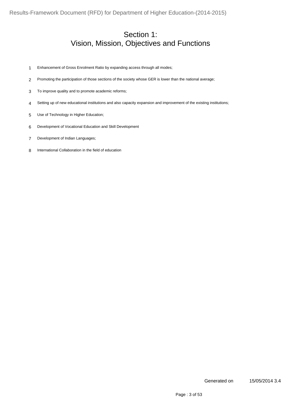#### Section 1: Vision, Mission, Objectives and Functions

- Enhancement of Gross Enrolment Ratio by expanding access through all modes;
- Promoting the participation of those sections of the society whose GER is lower than the national average;
- To improve quality and to promote academic reforms;
- Setting up of new educational institutions and also capacity expansion and improvement of the existing institutions;
- Use of Technology in Higher Education;
- Development of Vocational Education and Skill Development
- Development of Indian Languages;
- International Collaboration in the field of education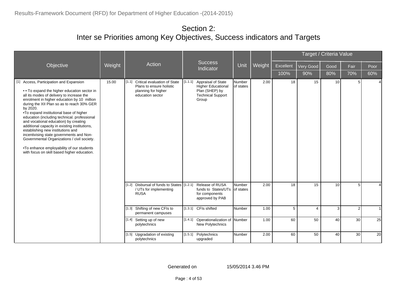|                                                                                                                                                                                                                                                                                                                                                                                                                                                                                                                                                                                                                                                                  |        |                                                                                                           |                                                                                                                   |                              |        |           |                | Target / Criteria Value |                |                |
|------------------------------------------------------------------------------------------------------------------------------------------------------------------------------------------------------------------------------------------------------------------------------------------------------------------------------------------------------------------------------------------------------------------------------------------------------------------------------------------------------------------------------------------------------------------------------------------------------------------------------------------------------------------|--------|-----------------------------------------------------------------------------------------------------------|-------------------------------------------------------------------------------------------------------------------|------------------------------|--------|-----------|----------------|-------------------------|----------------|----------------|
| Objective                                                                                                                                                                                                                                                                                                                                                                                                                                                                                                                                                                                                                                                        | Weight | Action                                                                                                    | <b>Success</b><br>Indicator                                                                                       | Unit                         | Weight | Excellent | Very Good      | Good                    | Fair           | Poor           |
|                                                                                                                                                                                                                                                                                                                                                                                                                                                                                                                                                                                                                                                                  |        |                                                                                                           |                                                                                                                   |                              |        | 100%      | 90%            | 80%                     | 70%            | 60%            |
| [1] Access, Participation and Expansion<br>• • To expand the higher education sector in<br>all its modes of delivery to increase the<br>enrolment in higher education by 10 million<br>during the XII Plan so as to reach 30% GER<br>by 2020.<br>• To expand institutional base of higher<br>education (including technical. professional<br>and vocational education) by creating<br>additional capacity in existing institutions,<br>establishing new institutions and<br>incentivising state governments and Non-<br>Governmental Organizations / civil society.<br>• To enhance employability of our students<br>with focus on skill based higher education. | 15.00  | [1.1] Critical evaluation of State<br>Plans to ensure holistic<br>planning for higher<br>education sector | [1.1.1]<br>Appraisal of State<br><b>Higher Educational</b><br>Plan (SHEP) by<br><b>Technical Support</b><br>Group | Number<br><b>l</b> of states | 2.00   | 18        | 15             | 10                      | 5 <sub>1</sub> | $\overline{4}$ |
|                                                                                                                                                                                                                                                                                                                                                                                                                                                                                                                                                                                                                                                                  |        | [1.2] Disbursal of funds to States [1.2.1]<br>/ UTs for implementing<br><b>RUSA</b>                       | Release of RUSA<br>funds to States/UTs<br>for components<br>approved by PAB                                       | Number<br>of states          | 2.00   | 18        | 15             | 10                      | 5              | $\overline{4}$ |
|                                                                                                                                                                                                                                                                                                                                                                                                                                                                                                                                                                                                                                                                  |        | [1.3] Shifting of new CFIs to<br>permanent campuses                                                       | [1.3.1] CFIs shifted                                                                                              | Number                       | 1.00   | 5         | $\overline{4}$ | $\mathcal{E}$           | $\overline{2}$ | $\overline{1}$ |
|                                                                                                                                                                                                                                                                                                                                                                                                                                                                                                                                                                                                                                                                  |        | [1.4] Setting up of new<br>polytechnics                                                                   | Operationalization of Number<br>[1.4.1]<br>New Polytechnics                                                       |                              | 1.00   | 60        | 50             | 40                      | 30             | 25             |
|                                                                                                                                                                                                                                                                                                                                                                                                                                                                                                                                                                                                                                                                  |        | [1.5] Upgradation of existing<br>polytechnics                                                             | [1.5.1]<br>Polytechnics<br>upgraded                                                                               | Number                       | 2.00   | 60        | 50             | 40                      | 30             | 20             |

Generated on 15/05/2014 3.46 PM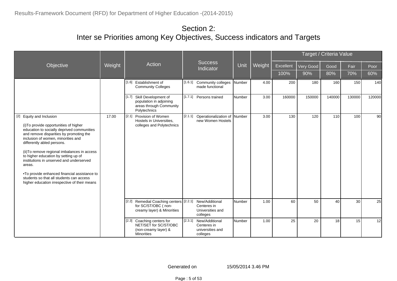|                                                                                                                                                                                                                                                                                                                                                                                                                                                                                                                                 |        |                                                                                                     |                                                                          |        |        |           |           | Target / Criteria Value |        |        |
|---------------------------------------------------------------------------------------------------------------------------------------------------------------------------------------------------------------------------------------------------------------------------------------------------------------------------------------------------------------------------------------------------------------------------------------------------------------------------------------------------------------------------------|--------|-----------------------------------------------------------------------------------------------------|--------------------------------------------------------------------------|--------|--------|-----------|-----------|-------------------------|--------|--------|
| Objective                                                                                                                                                                                                                                                                                                                                                                                                                                                                                                                       | Weight | Action                                                                                              | <b>Success</b><br>Indicator                                              | Unit   | Weight | Excellent | Very Good | Good                    | Fair   | Poor   |
|                                                                                                                                                                                                                                                                                                                                                                                                                                                                                                                                 |        |                                                                                                     |                                                                          |        |        | 100%      | 90%       | 80%                     | 70%    | 60%    |
|                                                                                                                                                                                                                                                                                                                                                                                                                                                                                                                                 |        | [1.6] Establishment of<br><b>Community Colleges</b>                                                 | [1.6.1] Community colleges<br>made functional                            | Number | 4.00   | 200       | 180       | 160                     | 150    | 140    |
|                                                                                                                                                                                                                                                                                                                                                                                                                                                                                                                                 |        | Skill Development of<br>[1.7]<br>population in adjoining<br>areas through Community<br>Polytechnics | [1.7.1] Persons trained                                                  | Number | 3.00   | 160000    | 150000    | 140000                  | 130000 | 120000 |
| Equity and Inclusion<br>$[2]$<br>(i) To provide opportunities of higher<br>education to socially deprived communities<br>and remove disparities by promoting the<br>inclusion of women, minorities and<br>differently abled persons.<br>(ii) To remove regional imbalances in access<br>to higher education by setting up of<br>institutions in unserved and underserved<br>areas.<br>• To provide enhanced financial assistance to<br>students so that all students can access<br>higher education irrespective of their means | 17.00  | [2.1]<br>Provision of Women<br>Hostels in Universities,<br>colleges and Polytechnics                | Operationalization of Number<br>[2.1.1]<br>new Women Hostels             |        | 3.00   | 130       | 120       | 110                     | 100    | 90     |
|                                                                                                                                                                                                                                                                                                                                                                                                                                                                                                                                 |        | [2.2] Remedial Coaching centers [2.2.1]<br>for SC/ST/OBC (non-<br>creamy layer) & Minorities        | New/Additional<br>Centeres in<br>Universities and<br>colleges            | Number | 1.00   | 60        | 50        | 40                      | 30     | 25     |
|                                                                                                                                                                                                                                                                                                                                                                                                                                                                                                                                 |        | [2.3] Coaching centers for<br>NET/SET for SC/ST/OBC<br>(non-creamy layer) &<br><b>Minorities</b>    | [2.3.1]<br>New/Additional<br>Centeres in<br>universities and<br>colleges | Number | 1.00   | 25        | 20        | 18                      | 15     | 12     |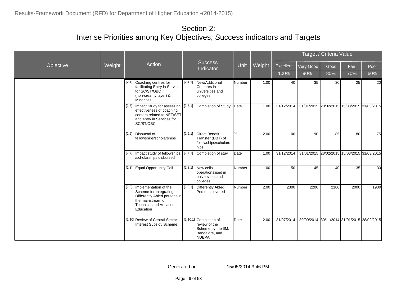|           |        |                                                                                                                                                            |         |                                                                                                 |               |        |            |                                             | Target / Criteria Value |      |           |
|-----------|--------|------------------------------------------------------------------------------------------------------------------------------------------------------------|---------|-------------------------------------------------------------------------------------------------|---------------|--------|------------|---------------------------------------------|-------------------------|------|-----------|
| Objective | Weight | Action                                                                                                                                                     |         | <b>Success</b><br>Indicator                                                                     | Unit          | Weight | Excellent  | Very Good                                   | Good                    | Fair | Poor      |
|           |        |                                                                                                                                                            |         |                                                                                                 |               |        | 100%       | 90%                                         | 80%                     | 70%  | 60%       |
|           |        | [2.4] Coaching centres for<br>facilitating Entry in Services<br>for SC/ST/OBC<br>(non-creamy layer) &<br><b>Minorities</b>                                 | [2.4.1] | New/Additional<br>Centeres in<br>universities and<br>colleges                                   | Number        | 1.00   | 40         | 35                                          | 30                      | 25   | <b>20</b> |
|           |        | [2.5] Impact Study for assessing<br>effectiveness of coaching<br>centers related to NET/SET<br>and entry in Services for<br>SC/ST/OBC                      | [2.5.1] | <b>Completion of Study</b>                                                                      | <b>Date</b>   | 1.00   | 31/12/2014 | 31/01/2015 28/02/2015 15/03/2015 31/03/2015 |                         |      |           |
|           |        | [2.6] Disbursal of<br>fellowships/scholarships                                                                                                             | [2.6.1] | <b>Direct Benefit</b><br>Transfer (DBT) of<br>fellowships/scholars<br>hips                      | $\frac{9}{6}$ | 2.00   | 100        | 90                                          | 85                      | 80   | 75        |
|           |        | Impact study of fellowships<br>[2.7]<br>/scholarships disbursed                                                                                            | [2.7.1] | Completion of stuy                                                                              | Date          | 1.00   | 31/12/2014 | 31/01/2015 28/02/2015 15/03/2015 31/03/2015 |                         |      |           |
|           |        | [2.8] Equal Opportunity Cell                                                                                                                               |         | $[2.8.1]$ New cells<br>operationalised in<br>universities and<br>colleges                       | Number        | 1.00   | 50         | 45                                          | 40                      | 35   | 30I       |
|           |        | [2.9] Implementation of the<br>Scheme for Integrating<br>Differently Abled persons in<br>the mainstream of<br><b>Technical and Vocational</b><br>Education | [2.9.1] | <b>Differently Abled</b><br>Persons covered                                                     | <b>Number</b> | 2.00   | 2300       | 2200                                        | 2100                    | 2000 | 1900      |
|           |        | [2.10] Review of Central Sector<br><b>Interest Subsidy Scheme</b>                                                                                          |         | [2.10.1] Completion of<br>review of the<br>Scheme by the IIM,<br>Bangalore, and<br><b>NUEPA</b> | Date          | 2.00   | 31/07/2014 | 30/09/2014 80/11/2014 31/01/2015 28/02/2015 |                         |      |           |

Page : 6 of 53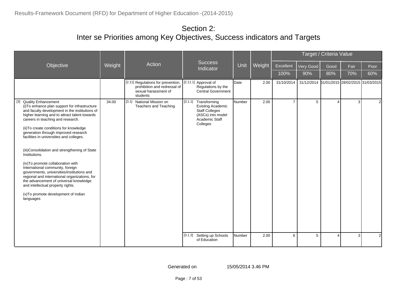|                                                                                                                                                                                                                                                                                                                                                                                                                                                                                                                                                                                                                                                                                                                                 |        |                                                                                                        |                                                                                                                              |        |        |                |                                             | Target / Criteria Value |      |                |
|---------------------------------------------------------------------------------------------------------------------------------------------------------------------------------------------------------------------------------------------------------------------------------------------------------------------------------------------------------------------------------------------------------------------------------------------------------------------------------------------------------------------------------------------------------------------------------------------------------------------------------------------------------------------------------------------------------------------------------|--------|--------------------------------------------------------------------------------------------------------|------------------------------------------------------------------------------------------------------------------------------|--------|--------|----------------|---------------------------------------------|-------------------------|------|----------------|
| Objective                                                                                                                                                                                                                                                                                                                                                                                                                                                                                                                                                                                                                                                                                                                       | Weight | Action                                                                                                 | <b>Success</b><br>Indicator                                                                                                  | Unit   | Weight | Excellent      | Very Good                                   | Good                    | Fair | Poor           |
|                                                                                                                                                                                                                                                                                                                                                                                                                                                                                                                                                                                                                                                                                                                                 |        |                                                                                                        |                                                                                                                              |        |        | 100%           | 90%                                         | 80%                     | 70%  | 60%            |
|                                                                                                                                                                                                                                                                                                                                                                                                                                                                                                                                                                                                                                                                                                                                 |        | [2.11] Regulations for prevention,<br>prohibition and redressal of<br>sexual harassment of<br>students | [2.11.1] Approval of<br>Regulations by the<br><b>Central Government</b>                                                      | Date   | 2.00   | 31/10/2014     | 31/12/2014 31/01/2015 28/02/2015 31/03/2015 |                         |      |                |
| [3] Quality Enhancement<br>(i) To enhance plan support for infrastructure<br>and faculty development in the institutions of<br>higher learning and to attract talent towards<br>careers in teaching and research.<br>(ii) To create conditions for knowledge<br>generation through improved research<br>facilities in universities and colleges.<br>(iii) Consolidation and strengthening of State<br>Institutions.<br>(iv) To promote collaboration with<br>International community, foreign<br>governments, universities/institutions and<br>regional and international organizations, for<br>the advancement of universal knowledge<br>and intellectual property rights.<br>(v)To promote development of Indian<br>languages | 34.00  | [3.1]<br>National Mission on<br><b>Teachers and Teaching</b>                                           | [3.1.1] Transforming<br><b>Existing Academic</b><br><b>Staff Colleges</b><br>(ASCs) into model<br>Academic Staff<br>Colleges | Number | 2.00   | $\overline{7}$ | 5                                           |                         | 3    | $\overline{2}$ |
|                                                                                                                                                                                                                                                                                                                                                                                                                                                                                                                                                                                                                                                                                                                                 |        |                                                                                                        | [3.1.2] Setting up Schools<br>of Education                                                                                   | Number | 2.00   | 6              | 5                                           |                         | 3    | $\overline{2}$ |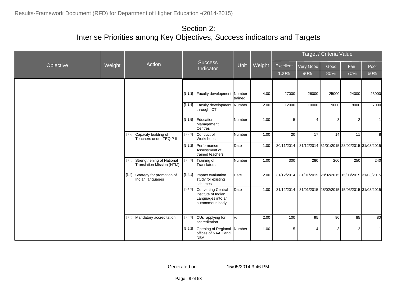|           |        |                                                                 |         |                                                                                          |         |        |            |                                             | Target / Criteria Value |                |       |
|-----------|--------|-----------------------------------------------------------------|---------|------------------------------------------------------------------------------------------|---------|--------|------------|---------------------------------------------|-------------------------|----------------|-------|
| Objective | Weight | Action                                                          |         | <b>Success</b><br>Indicator                                                              | Unit    | Weight | Excellent  | Very Good                                   | Good                    | Fair           | Poor  |
|           |        |                                                                 |         |                                                                                          |         |        | 100%       | 90%                                         | 80%                     | 70%            | 60%   |
|           |        |                                                                 |         |                                                                                          |         |        |            |                                             |                         |                |       |
|           |        |                                                                 |         | [3.1.3] Faculty development Number                                                       | trained | 4.00   | 27000      | 26000                                       | 25000                   | 24000          | 23000 |
|           |        |                                                                 |         | [3.1.4] Faculty development<br>through ICT                                               | Number  | 2.00   | 12000      | 10000                                       | 9000                    | 8000           | 7000  |
|           |        |                                                                 | [3.1.5] | Education<br>Management<br>Centres                                                       | Number  | 1.00   | 5          | $\overline{4}$                              | 3                       | 2              |       |
|           |        | Capacity building of<br>[3.2]<br>Teachers under TEQIP II        | [3.2.1] | Conduct of<br>Workshops                                                                  | Number  | 1.00   | 20         | 17                                          | 14                      | 11             | 8     |
|           |        |                                                                 | [3.2.2] | Performance<br>Assessment of<br>trained teachers                                         | Date    | 1.00   | 30/11/2014 | 31/12/2014 31/01/2015 28/02/2015 31/03/2015 |                         |                |       |
|           |        | Strengthening of National<br>[3.3]<br>Translation Mission (NTM) |         | [3.3.1] Training of<br>Translators                                                       | Number  | 1.00   | 300        | 280                                         | 260                     | 250            | 240   |
|           |        | [3.4] Strategy for promotion of<br>Indian languages             | [3.4.1] | Impact evaluation<br>study for existing<br>schemes                                       | Date    | 2.00   | 31/12/2014 | 31/01/2015 28/02/2015 15/03/2015 31/03/2015 |                         |                |       |
|           |        |                                                                 | [3.4.2] | <b>Converting Central</b><br>Institute of Indian<br>Languages into an<br>autonomous body | Date    | 1.00   | 31/12/2014 | 31/01/2015 28/02/2015 15/03/2015 31/03/2015 |                         |                |       |
|           |        | [3.5] Mandatory accreditation                                   | [3.5.1] | CUs applying for<br>accreditation                                                        | $\%$    | 2.00   | 100        | 95                                          | 90                      | 85             | 80    |
|           |        |                                                                 | [3.5.2] | Opening of Regional<br>offices of NAAC and<br><b>NBA</b>                                 | Number  | 1.00   | 5          | $\overline{4}$                              | 3                       | $\overline{2}$ | 1     |

Page : 8 of 53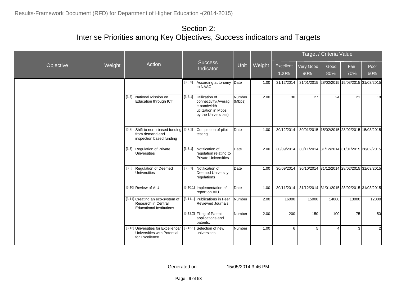|           |        |                                                                                            |         |                                                                                                             |                  |        |            |                                             | Target / Criteria Value |       |                |
|-----------|--------|--------------------------------------------------------------------------------------------|---------|-------------------------------------------------------------------------------------------------------------|------------------|--------|------------|---------------------------------------------|-------------------------|-------|----------------|
| Objective | Weight | Action                                                                                     |         | <b>Success</b><br>Indicator                                                                                 | Unit             | Weight | Excellent  | Very Good                                   | Good                    | Fair  | Poor           |
|           |        |                                                                                            |         |                                                                                                             |                  |        | 100%       | 90%                                         | 80%                     | 70%   | 60%            |
|           |        |                                                                                            | [3.5.3] | According autonomy<br>to NAAC                                                                               | Date             | 1.00   | 31/12/2014 | 31/01/2015 28/02/2015 15/03/2015 31/03/2015 |                         |       |                |
|           |        | [3.6] National Mission on<br>Education through ICT                                         |         | [3.6.1] Utilization of<br>connectivity(Averag<br>e bandwidth<br>utilization in Mbps<br>by the Universities) | Number<br>(Mbps) | 2.00   | 30         | 27                                          | 24                      | 21    | 18             |
|           |        | [3.7] Shift to norm based funding [[3.7.1]<br>from demand and<br>inspection based funding  |         | Completion of pilot<br>testing                                                                              | Date             | 1.00   | 30/12/2014 | 30/01/2015 15/02/2015 28/02/2015 15/03/2015 |                         |       |                |
|           |        | [3.8] Regulation of Private<br><b>Universities</b>                                         | [3.8.1] | Notification of<br>regulation relating to<br><b>Private Universities</b>                                    | Date             | 2.00   | 30/09/2014 | 30/11/2014 31/12/2014 31/01/2015 28/02/2015 |                         |       |                |
|           |        | [3.9] Regulation of Deemed<br><b>Universities</b>                                          | [3.9.1] | Notification of<br><b>Deemed University</b><br>regulations                                                  | Date             | 1.00   | 30/09/2014 | 30/10/2014 31/12/2014 28/02/2015 31/03/2015 |                         |       |                |
|           |        | [3.10] Review of AIU                                                                       |         | [3.10.1] Implementation of<br>report on AIU                                                                 | Date             | 1.00   | 30/11/2014 | 31/12/2014 31/01/2015 28/02/2015 31/03/2015 |                         |       |                |
|           |        | [3.11] Creating an eco-system of<br>Research in Central<br><b>Educational Institutions</b> |         | [3.11.1] Publications in Peer<br><b>Reviewed Journals</b>                                                   | Number           | 2.00   | 16000      | 15000                                       | 14000                   | 13000 | 12000          |
|           |        |                                                                                            |         | [3.11.2] Filing of Patent<br>applications and<br>patents.                                                   | Number           | 2.00   | 200        | 150                                         | 100                     | 75    | 50             |
|           |        | [3.12] Universities for Excellence/<br>Universities with Potential<br>for Excellence       |         | [3.12.1] Selection of new<br>universities                                                                   | Number           | 1.00   | 6          | 5                                           | $\overline{4}$          | 3     | $\overline{2}$ |

Generated on 15/05/2014 3.46 PM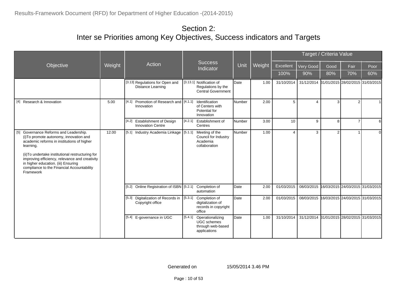|                                                                                                                                                                                                                                                                                                                                                            |        |                                                                          |         |                                                                             |               |        |            |                                             | Target / Criteria Value |                                  |          |
|------------------------------------------------------------------------------------------------------------------------------------------------------------------------------------------------------------------------------------------------------------------------------------------------------------------------------------------------------------|--------|--------------------------------------------------------------------------|---------|-----------------------------------------------------------------------------|---------------|--------|------------|---------------------------------------------|-------------------------|----------------------------------|----------|
| Objective                                                                                                                                                                                                                                                                                                                                                  | Weight | Action                                                                   |         | <b>Success</b><br>Indicator                                                 | Unit          | Weight | Excellent  | Very Good                                   | Good                    | Fair                             | Poor     |
|                                                                                                                                                                                                                                                                                                                                                            |        |                                                                          |         |                                                                             |               |        | 100%       | 90%                                         | 80%                     | 70%                              | 60%      |
|                                                                                                                                                                                                                                                                                                                                                            |        | [3.13] Regulations for Open and<br><b>Distance Learning</b>              |         | [3.13.1] Notification of<br>Regulations by the<br><b>Central Government</b> | <b>D</b> ate  | 1.00   | 31/10/2014 | 31/12/2014 31/01/2015 28/02/2015 31/03/2015 |                         |                                  |          |
| [4] Research & Innovation                                                                                                                                                                                                                                                                                                                                  | 5.00   | Promotion of Research and [[4.1.1] Identification<br>[4.1]<br>Innovation |         | of Centers with<br>Potential for<br>Innovation                              | <b>Number</b> | 2.00   | 5          | $\overline{\mathbf{4}}$                     | 3                       | $\overline{2}$                   | -1       |
|                                                                                                                                                                                                                                                                                                                                                            |        | [4.2] Establishment of Design<br><b>Innovation Centre</b>                |         | [4.2.1] Establishment of<br>Centres                                         | Number        | 3.00   | 10         | 9                                           | 8                       | $\overline{7}$                   | 6        |
| Governance Reforms and Leadership.<br>$[5]$<br>(i) To promote autonomy, innovation and<br>academic reforms in institutions of higher<br>learning.<br>(ii) To undertake institutional restructuring for<br>improving efficiency, relevance and creativity<br>in higher education. (iii) Ensuring<br>compliance to the Financial Accountability<br>Framework | 12.00  | [5.1] Industry Academia Linkage [5.1.1]                                  |         | Meeting of the<br>Council for Industry<br>Academia<br>collaboration         | <b>Number</b> | 1.00   | 4          | 3                                           | 2                       | 1                                | $\Omega$ |
|                                                                                                                                                                                                                                                                                                                                                            |        | [5.2] Online Registration of ISBN [5.2.1]                                |         | Completion of<br>automation                                                 | <b>D</b> ate  | 2.00   | 01/03/2015 | 08/03/2015                                  |                         | 16/03/2015 24/03/2015 31/03/2015 |          |
|                                                                                                                                                                                                                                                                                                                                                            |        | [5.3] Digitalization of Records in<br>Copyright office                   | [5.3.1] | Completion of<br>digitalization of<br>records in copyright<br>office        | Date          | 2.00   | 01/03/2015 | 08/03/2015                                  |                         | 16/03/2015 24/03/2015 31/03/2015 |          |
|                                                                                                                                                                                                                                                                                                                                                            |        | [5.4] E-governance in UGC                                                | [5.4.1] | Operationalizing<br><b>UGC</b> schemes<br>through web-based<br>applications | Date          | 1.00   | 31/10/2014 | 31/12/2014 31/01/2015 28/02/2015 31/03/2015 |                         |                                  |          |

Page : 10 of 53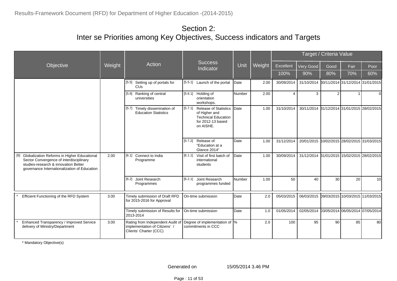|                                                                                                                                                                                    |        |                                                                                             |                                                                                                                |               |        |            |                                             | Target / Criteria Value |                                  |                 |
|------------------------------------------------------------------------------------------------------------------------------------------------------------------------------------|--------|---------------------------------------------------------------------------------------------|----------------------------------------------------------------------------------------------------------------|---------------|--------|------------|---------------------------------------------|-------------------------|----------------------------------|-----------------|
| Objective                                                                                                                                                                          | Weight | Action                                                                                      | <b>Success</b><br>Indicator                                                                                    | Unit          | Weight | Excellent  | Very Good                                   | Good                    | Fair                             | Poor            |
|                                                                                                                                                                                    |        |                                                                                             |                                                                                                                |               |        | 100%       | 90%                                         | 80%                     | 70%                              | 60%             |
|                                                                                                                                                                                    |        | Setting up of portals for<br>[5.5]<br><b>CU<sub>s</sub></b>                                 | [5.5.1] Launch of the portal                                                                                   | Date          | 2.00   | 30/09/2014 | 31/10/2014 80/11/2014 31/12/2014 31/01/2015 |                         |                                  |                 |
|                                                                                                                                                                                    |        | Ranking of central<br>[5.6]<br>universities                                                 | [5.6.1] Holding of<br>orientation<br>workshops.                                                                | Number        | 2.00   | 4          | 3                                           |                         |                                  | $\Omega$        |
|                                                                                                                                                                                    |        | [5.7] Timely dissemination of<br><b>Education Statistics</b>                                | [5.7.1] Release of Statistics<br>of Higher and<br><b>Technical Education</b><br>for 2012-13 based<br>on AISHE. | Date          | 1.00   | 31/10/2014 | 30/11/2014 31/12/2014 31/01/2015 28/02/2015 |                         |                                  |                 |
|                                                                                                                                                                                    |        |                                                                                             | [5.7.2] Release of<br>"Education at a<br>Glance 2014"                                                          | Date          | 1.00   | 31/12/2014 | 20/01/2015 10/02/2015 28/02/2015 31/03/2015 |                         |                                  |                 |
| [6] Globalization Reforms in Higher Educational<br>Sector Convergence of interdisciplinary<br>studies-research & innovation Better<br>governance Internationalization of Education | 2.00   | [6.1]<br>Connect to India<br>Programme                                                      | [6.1.1] Visit of first batch of<br>international<br>students                                                   | Date          | 1.00   | 30/09/2014 | 31/12/2014 31/01/2015 15/02/2015 28/02/2015 |                         |                                  |                 |
|                                                                                                                                                                                    |        | [6.2] Joint Research<br>Programmes                                                          | [6.2.1] Joint Research<br>programmes funded                                                                    | <b>Number</b> | 1.00   | 50         | 40                                          | 30                      | 20                               | 10 <sup>1</sup> |
| Efficient Functioning of the RFD System                                                                                                                                            | 3.00   | Timely submission of Draft RFD<br>for 2015-2016 for Approval                                | On-time submission                                                                                             | Date          | 2.0    | 05/03/2015 | 06/03/2015                                  |                         | 09/03/2015 10/03/2015 11/03/2015 |                 |
|                                                                                                                                                                                    |        | Timely submission of Results for<br>2013-2014                                               | On-time submission                                                                                             | Date          | 1.0    | 01/05/2014 | 02/05/2014                                  |                         | 03/05/2014 06/05/2014 07/05/2014 |                 |
| Enhanced Transparency / Improved Service<br>delivery of Ministry/Department                                                                                                        | 3.00   | Rating from Independent Audit of<br>implementation of Citizens' /<br>Clients' Charter (CCC) | Degree of implementation of  %<br>commitments in CCC                                                           |               | 2.0    | 100        | 95                                          | 90                      | 85                               | 80              |

\* Mandatory Objective(s)

Page : 11 of 53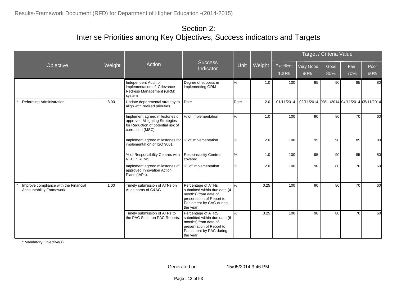|                                                                          |        |                                                                                                                             |                                                                                                                                                  |      |        |            |                                             | Target / Criteria Value |      |      |
|--------------------------------------------------------------------------|--------|-----------------------------------------------------------------------------------------------------------------------------|--------------------------------------------------------------------------------------------------------------------------------------------------|------|--------|------------|---------------------------------------------|-------------------------|------|------|
| Objective                                                                | Weight | Action                                                                                                                      | <b>Success</b><br>Indicator                                                                                                                      | Unit | Weight | Excellent  | Very Good                                   | Good                    | Fair | Poor |
|                                                                          |        |                                                                                                                             |                                                                                                                                                  |      |        | 100%       | 90%                                         | 80%                     | 70%  | 60%  |
|                                                                          |        | Independent Audit of<br>implementation of Grievance<br>Redress Management (GRM)<br>system                                   | Degree of success in<br>implementing GRM                                                                                                         | %    | 1.0    | 100        | 95                                          | 90                      | 85   | 80   |
| <b>Reforming Administration</b>                                          | 8.00   | Update departmental strategy to<br>align with revised priorities                                                            | Date                                                                                                                                             | Date | 2.0    | 01/11/2014 | 02/11/2014 03/11/2014 04/11/2014 05/11/2014 |                         |      |      |
|                                                                          |        | Implement agreed milestones of<br>approved Mitigating Strategies<br>for Reduction of potential risk of<br>corruption (MSC). | % of Implementation                                                                                                                              | %    | 1.0    | 100        | 90                                          | 80                      | 70   | 60   |
|                                                                          |        | Implement agreed milestones for<br>implementation of ISO 9001                                                               | % of implementation                                                                                                                              | %    | 2.0    | 100        | 95                                          | 90                      | 85   | 80   |
|                                                                          |        | % of Responsibility Centres with<br>RFD in RFMS                                                                             | <b>Responsibility Centres</b><br>covered                                                                                                         | %    | 1.0    | 100        | 95                                          | 90                      | 85   | 80   |
|                                                                          |        | Implement agreed milestones of<br>approved Innovation Action<br>Plans (IAPs).                                               | % of implementation                                                                                                                              | %    | 2.0    | 100        | 90                                          | 80                      | 70   | 60   |
| Improve compliance with the Financial<br><b>Accountability Framework</b> | 1.00   | Timely submission of ATNs on<br>Audit paras of C&AG                                                                         | Percentage of ATNs<br>submitted within due date (4<br>months) from date of<br>presentation of Report to<br>Parliament by CAG during<br>the year. | %    | 0.25   | 100        | 90                                          | 80                      | 70   | 60   |
|                                                                          |        | Timely submission of ATRs to<br>the PAC Sectt. on PAC Reports.                                                              | Percentage of ATRS<br>submitted within due date (6<br>months) from date of<br>presentation of Report to<br>Parliament by PAC during<br>the year. | %    | 0.25   | 100        | 90                                          | 80                      | 70   | 60   |

\* Mandatory Objective(s)

Generated on 15/05/2014 3.46 PM

Page : 12 of 53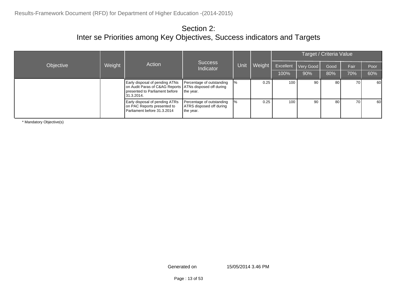|           |        |                                                                                                                                             |                                                                    |      |        |           |           | Target / Criteria Value |      |      |
|-----------|--------|---------------------------------------------------------------------------------------------------------------------------------------------|--------------------------------------------------------------------|------|--------|-----------|-----------|-------------------------|------|------|
| Objective | Weight | Action                                                                                                                                      | <b>Success</b><br>Indicator                                        | Unit | Weight | Excellent | Very Good | Good                    | Fair | Poor |
|           |        |                                                                                                                                             |                                                                    |      |        | 100%      | 90%       | 80%                     | 70%  | 60%  |
|           |        | Early disposal of pending ATNs<br>on Audit Paras of C&AG Reports   ATNs disposed off during<br>presented to Parliament before<br>31.3.2014. | Percentage of outstanding<br>the year.                             | $\%$ | 0.25   | 100       | 90        | 80                      | 70   | 60   |
|           |        | Early disposal of pending ATRs<br>on PAC Reports presented to<br>Parliament before 31.3.2014                                                | Percentage of outstanding<br>ATRS disposed off during<br>the year. | $\%$ | 0.25   | 100       | 90        | 80                      | 70   | 60   |

\* Mandatory Objective(s)

Generated on 15/05/2014 3.46 PM

Page : 13 of 53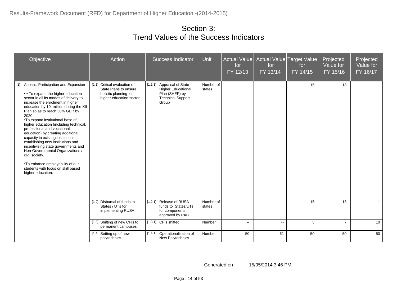|       | Objective                                                                                                                                                                                                                                                                                                                                                                                                                                                                                                                                                                                                                                                               | Action                                                                                                    | Success Indicator                                                                                              | Unit                | for<br>FY 12/13 | Actual Value   Actual Value   Target Value  <br>for<br>FY 13/14 | for<br>$FY$ 14/15 | Projected<br>Value for<br>FY 15/16 | Projected<br>Value for<br>FY 16/17 |
|-------|-------------------------------------------------------------------------------------------------------------------------------------------------------------------------------------------------------------------------------------------------------------------------------------------------------------------------------------------------------------------------------------------------------------------------------------------------------------------------------------------------------------------------------------------------------------------------------------------------------------------------------------------------------------------------|-----------------------------------------------------------------------------------------------------------|----------------------------------------------------------------------------------------------------------------|---------------------|-----------------|-----------------------------------------------------------------|-------------------|------------------------------------|------------------------------------|
| $[1]$ | Access, Participation and Expansion<br>• • To expand the higher education<br>sector in all its modes of delivery to<br>increase the enrolment in higher<br>education by 10 million during the XII<br>Plan so as to reach 30% GER by<br>2020.<br>. To expand institutional base of<br>higher education (including technical.<br>professional and vocational<br>education) by creating additional<br>capacity in existing institutions,<br>establishing new institutions and<br>incentivising state governments and<br>Non-Governmental Organizations /<br>civil society.<br>. To enhance employability of our<br>students with focus on skill based<br>higher education. | [1.1] Critical evaluation of<br>State Plans to ensure<br>holistic planning for<br>higher education sector | [1.1.1] Appraisal of State<br><b>Higher Educational</b><br>Plan (SHEP) by<br><b>Technical Support</b><br>Group | Number of<br>states | $\sim$          | н.                                                              | 15                | 13                                 | $\mathbf{1}$                       |
|       |                                                                                                                                                                                                                                                                                                                                                                                                                                                                                                                                                                                                                                                                         | [1.2] Disbursal of funds to<br>States / UTs for<br>implementing RUSA                                      | [1.2.1] Release of RUSA<br>funds to States/UTs<br>for components<br>approved by PAB                            | Number of<br>states | $\sim$          | н.                                                              | 15                | 13                                 | $\mathbf{1}$                       |
|       |                                                                                                                                                                                                                                                                                                                                                                                                                                                                                                                                                                                                                                                                         | [1.3] Shifting of new CFIs to<br>permanent campuses                                                       | [1.3.1] CFIs shifted                                                                                           | Number              | $\sim$          | $\mathbf{u}$                                                    | 5                 | $\overline{7}$                     | 10                                 |
|       |                                                                                                                                                                                                                                                                                                                                                                                                                                                                                                                                                                                                                                                                         | [1.4] Setting up of new<br>polytechnics                                                                   | [1.4.1] Operationalization of<br>New Polytechnics                                                              | Number              | 50              | 61                                                              | 50                | 50                                 | 50                                 |

Generated on 15/05/2014 3.46 PM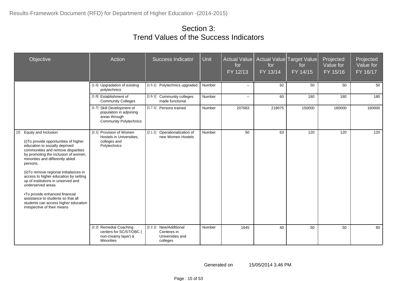|       | Objective                                                                                                                                                                                                                                                                                                                                                                                                                                                                                                                    | Action                                                                                                  | <b>Success Indicator</b>                                              | Unit   | <b>Actual Value</b><br>for<br>FY 12/13 | for<br>FY 13/14 | Actual Value Target Value<br>for<br>FY 14/15 | Projected<br>Value for<br>FY 15/16 | Projected<br>Value for<br>FY 16/17 |
|-------|------------------------------------------------------------------------------------------------------------------------------------------------------------------------------------------------------------------------------------------------------------------------------------------------------------------------------------------------------------------------------------------------------------------------------------------------------------------------------------------------------------------------------|---------------------------------------------------------------------------------------------------------|-----------------------------------------------------------------------|--------|----------------------------------------|-----------------|----------------------------------------------|------------------------------------|------------------------------------|
|       |                                                                                                                                                                                                                                                                                                                                                                                                                                                                                                                              | [1.5] Upgradation of existing<br>polytechnics                                                           | [1.5.1] Polytechnics upgraded                                         | Number | $\sim$                                 | 92              | 50                                           | 50                                 | 50                                 |
|       |                                                                                                                                                                                                                                                                                                                                                                                                                                                                                                                              | [1.6] Establishment of<br><b>Community Colleges</b>                                                     | [1.6.1] Community colleges<br>made functional                         | Number | $\sim$                                 | 60              | 180                                          | 180                                | 180                                |
|       |                                                                                                                                                                                                                                                                                                                                                                                                                                                                                                                              | [1.7] Skill Development of<br>population in adjoining<br>areas through<br><b>Community Polytechnics</b> | [1.7.1] Persons trained                                               | Number | 207683                                 | 218075          | 150000                                       | 160000                             | 160000                             |
| $[2]$ | Equity and Inclusion<br>(i) To provide opportunities of higher<br>education to socially deprived<br>communities and remove disparities<br>by promoting the inclusion of women,<br>minorities and differently abled<br>persons.<br>(ii) To remove regional imbalances in<br>access to higher education by setting<br>up of institutions in unserved and<br>underserved areas.<br>• To provide enhanced financial<br>assistance to students so that all<br>students can access higher education<br>irrespective of their means | [2.1] Provision of Women<br>Hostels in Universities.<br>colleges and<br>Polytechnics                    | [2.1.1] Operationalization of<br>new Women Hostels                    | Number | 50                                     | 63              | 120                                          | 120                                | 120                                |
|       |                                                                                                                                                                                                                                                                                                                                                                                                                                                                                                                              | [2.2] Remedial Coaching<br>centers for SC/ST/OBC (<br>non-creamy layer) &<br><b>Minorities</b>          | [2.2.1] New/Additional<br>Centeres in<br>Universities and<br>colleges | Number | 1645                                   | 40              | 50                                           | 50                                 | 60                                 |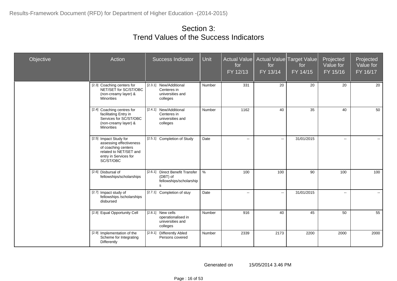| Objective | Action                                                                                                                                   | Success Indicator                                                           | Unit   | <b>Actual Value</b><br>for<br>FY 12/13 | for<br>FY 13/14 | Actual Value Target Value<br>for<br>FY 14/15 | Projected<br>Value for<br>FY 15/16 | Projected<br>Value for<br>FY 16/17 |
|-----------|------------------------------------------------------------------------------------------------------------------------------------------|-----------------------------------------------------------------------------|--------|----------------------------------------|-----------------|----------------------------------------------|------------------------------------|------------------------------------|
|           | [2.3] Coaching centers for<br>NET/SET for SC/ST/OBC<br>(non-creamy layer) &<br><b>Minorities</b>                                         | [2.3.1] New/Additional<br>Centeres in<br>universities and<br>colleges       | Number | 331                                    | 20              | 20                                           | 20                                 | 20                                 |
|           | [2.4] Coaching centres for<br>facilitating Entry in<br>Services for SC/ST/OBC<br>(non-creamy layer) &<br><b>Minorities</b>               | [2.4.1] New/Additional<br>Centeres in<br>universities and<br>colleges       | Number | 1162                                   | 40              | 35                                           | 40                                 | 50                                 |
|           | [2.5] Impact Study for<br>assessing effectiveness<br>of coaching centers<br>related to NET/SET and<br>entry in Services for<br>SC/ST/OBC | [2.5.1] Completion of Study                                                 | Date   | н.                                     | $\sim$          | 31/01/2015                                   | н.                                 | $\sim$                             |
|           | [2.6] Disbursal of<br>fellowships/scholarships                                                                                           | [2.6.1] Direct Benefit Transfer<br>(DBT) of<br>fellowships/scholarship<br>S | $\%$   | 100                                    | 100             | 90                                           | 100                                | 100                                |
|           | [2.7] Impact study of<br>fellowships /scholarships<br>disbursed                                                                          | [2.7.1] Completion of stuy                                                  | Date   | $\sim$                                 | $\sim$          | 31/01/2015                                   | н.                                 | $\sim$                             |
|           | [2.8] Equal Opportunity Cell                                                                                                             | $[2.8.1]$ New cells<br>operationalised in<br>universities and<br>colleges   | Number | 916                                    | 40              | 45                                           | 50                                 | 55                                 |
|           | [2.9] Implementation of the<br>Scheme for Integrating<br>Differently                                                                     | <b>Differently Abled</b><br>[2.9.1]<br>Persons covered                      | Number | 2339                                   | 2173            | 2200                                         | 2000                               | 2000                               |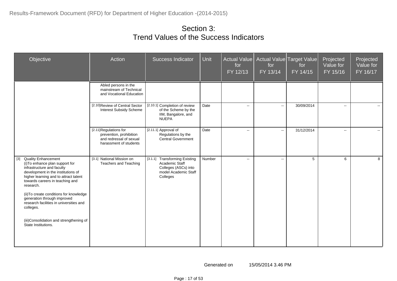| Objective                                                                                                                                                                                                                                                                                                                                                                                                                   | Action                                                                                                 | Success Indicator                                                                                           | <b>Unit</b> | for<br>FY 12/13          | Actual Value   Actual Value   Target Value  <br>for<br>FY 13/14 | for<br>FY 14/15 | Projected<br>Value for<br>FY 15/16 | Projected<br>Value for<br>FY 16/17 |
|-----------------------------------------------------------------------------------------------------------------------------------------------------------------------------------------------------------------------------------------------------------------------------------------------------------------------------------------------------------------------------------------------------------------------------|--------------------------------------------------------------------------------------------------------|-------------------------------------------------------------------------------------------------------------|-------------|--------------------------|-----------------------------------------------------------------|-----------------|------------------------------------|------------------------------------|
|                                                                                                                                                                                                                                                                                                                                                                                                                             | Abled persons in the<br>mainstream of Technical<br>and Vocational Education                            |                                                                                                             |             |                          |                                                                 |                 |                                    |                                    |
|                                                                                                                                                                                                                                                                                                                                                                                                                             | [2.10] Review of Central Sector<br><b>Interest Subsidy Scheme</b>                                      | [2.10.1] Completion of review<br>of the Scheme by the<br>IIM, Bangalore, and<br><b>NUEPA</b>                | Date        | $\overline{\phantom{a}}$ | $\sim$                                                          | 30/09/2014      | $\overline{a}$                     | $\sim$                             |
|                                                                                                                                                                                                                                                                                                                                                                                                                             | [2.11] Regulations for<br>prevention, prohibition<br>and redressal of sexual<br>harassment of students | [2.11.1] Approval of<br>Regulations by the<br><b>Central Government</b>                                     | Date        | $\overline{\phantom{a}}$ | $\mathbf{L}$                                                    | 31/12/2014      | $\overline{a}$                     | $\sim$                             |
| [3] Quality Enhancement<br>(i) To enhance plan support for<br>infrastructure and faculty<br>development in the institutions of<br>higher learning and to attract talent<br>towards careers in teaching and<br>research.<br>(ii) To create conditions for knowledge<br>generation through improved<br>research facilities in universities and<br>colleges.<br>(iii)Consolidation and strengthening of<br>State Institutions. | [3.1] National Mission on<br>Teachers and Teaching                                                     | [3.1.1] Transforming Existing<br>Academic Staff<br>Colleges (ASCs) into<br>model Academic Staff<br>Colleges | Number      | $\sim$                   | ÷÷                                                              | 5               | 6                                  | 8                                  |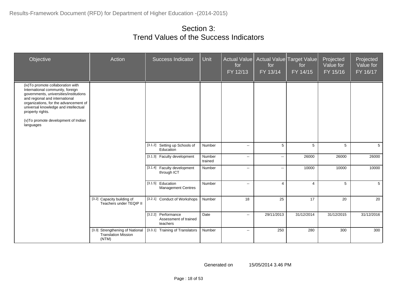| Objective                                                                                                                                                                                                                                                                                                   | Action                                                                 | Success Indicator                                        | <b>Unit</b>       | <b>Actual Value</b><br>for<br>FY 12/13 | for<br>FY 13/14 | Actual Value Target Value<br>for<br>FY 14/15 | Projected<br>Value for<br>FY 15/16 | Projected<br>Value for<br>FY 16/17 |
|-------------------------------------------------------------------------------------------------------------------------------------------------------------------------------------------------------------------------------------------------------------------------------------------------------------|------------------------------------------------------------------------|----------------------------------------------------------|-------------------|----------------------------------------|-----------------|----------------------------------------------|------------------------------------|------------------------------------|
| (iv) To promote collaboration with<br>International community, foreign<br>governments, universities/institutions<br>and regional and international<br>organizations, for the advancement of<br>universal knowledge and intellectual<br>property rights.<br>(v)To promote development of Indian<br>languages |                                                                        |                                                          |                   |                                        |                 |                                              |                                    |                                    |
|                                                                                                                                                                                                                                                                                                             |                                                                        | [3.1.2] Setting up Schools of<br>Education               | Number            | $\mathbf{u}$                           | 5               | 5                                            | 5                                  | $5^{\circ}$                        |
|                                                                                                                                                                                                                                                                                                             |                                                                        | [3.1.3] Faculty development                              | Number<br>trained | $\overline{a}$                         | н.              | 26000                                        | 26000                              | 26000                              |
|                                                                                                                                                                                                                                                                                                             |                                                                        | [3.1.4] Faculty development<br>through ICT               | Number            | $\sim$                                 | $\mathbf{L}$    | 10000                                        | 10000                              | 10000                              |
|                                                                                                                                                                                                                                                                                                             |                                                                        | [3.1.5] Education<br><b>Management Centres</b>           | Number            | $\sim$                                 | $\overline{4}$  | 4                                            | 5                                  | 5                                  |
|                                                                                                                                                                                                                                                                                                             | [3.2] Capacity building of<br>Teachers under TEQIP II                  | [3.2.1] Conduct of Workshops                             | Number            | 18                                     | 25              | 17                                           | 20                                 | 20                                 |
|                                                                                                                                                                                                                                                                                                             |                                                                        | [3.2.2] Performance<br>Assessment of trained<br>teachers | Date              | $\mathbf{u}$                           | 29/11/2013      | 31/12/2014                                   | 31/12/2015                         | 31/12/2016                         |
|                                                                                                                                                                                                                                                                                                             | [3.3] Strengthening of National<br><b>Translation Mission</b><br>(NTM) | [3.3.1] Training of Translators                          | Number            | $\mathbf{u}$                           | 250             | 280                                          | 300                                | 300                                |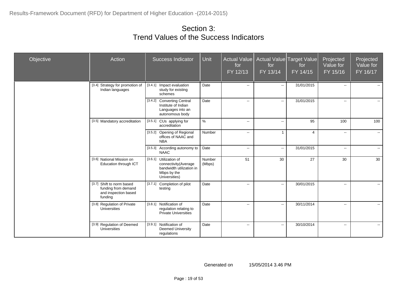| Objective | Action                                                                              | <b>Success Indicator</b>                                                                                   | Unit             | Actual Value<br>for<br>FY 12/13 | for<br>FY 13/14 | Actual Value Target Value<br>for<br>FY 14/15 | Projected<br>Value for<br>$FY$ 15/16 | Projected<br>Value for<br>FY 16/17 |
|-----------|-------------------------------------------------------------------------------------|------------------------------------------------------------------------------------------------------------|------------------|---------------------------------|-----------------|----------------------------------------------|--------------------------------------|------------------------------------|
|           | [3.4] Strategy for promotion of<br>Indian languages                                 | [3.4.1] Impact evaluation<br>study for existing<br>schemes                                                 | Date             | н.                              | $\sim$          | 31/01/2015                                   | $\overline{\phantom{a}}$             | $-1$                               |
|           |                                                                                     | [3.4.2] Converting Central<br>Institute of Indian<br>Languages into an<br>autonomous body                  | Date             | $\sim$                          | $\sim$          | 31/01/2015                                   | $\overline{\phantom{a}}$             |                                    |
|           | [3.5] Mandatory accreditation                                                       | [3.5.1] CUs applying for<br>accreditation                                                                  | $\%$             | н.                              | н.              | 95                                           | 100                                  | 100                                |
|           |                                                                                     | [3.5.2] Opening of Regional<br>offices of NAAC and<br><b>NBA</b>                                           | Number           | $\sim$                          | $\mathbf{1}$    | $\overline{4}$                               | $\overline{\phantom{a}}$             | $\sim$                             |
|           |                                                                                     | [3.5.3] According autonomy to<br><b>NAAC</b>                                                               | Date             | $\sim$                          | н.              | 31/01/2015                                   | $\overline{\phantom{a}}$             | $\sim$                             |
|           | [3.6] National Mission on<br>Education through ICT                                  | [3.6.1] Utilization of<br>connectivity(Average<br>bandwidth utilization in<br>Mbps by the<br>Universities) | Number<br>(Mbps) | 51                              | 30              | 27                                           | 30                                   | 30                                 |
|           | [3.7] Shift to norm based<br>funding from demand<br>and inspection based<br>funding | [3.7.1] Completion of pilot<br>testing                                                                     | Date             | $\overline{a}$                  | н.              | 30/01/2015                                   | $\overline{a}$                       |                                    |
|           | [3.8] Regulation of Private<br>Universities                                         | [3.8.1] Notification of<br>regulation relating to<br><b>Private Universities</b>                           | Date             | $\overline{\phantom{a}}$        | н.              | 30/11/2014                                   | $\overline{\phantom{a}}$             | $-1$                               |
|           | [3.9] Regulation of Deemed<br><b>Universities</b>                                   | [3.9.1] Notification of<br><b>Deemed University</b><br>regulations                                         | Date             | $\sim$ $-$                      | $\mathbf{u}$    | 30/10/2014                                   | $\overline{\phantom{a}}$             | $\sim$                             |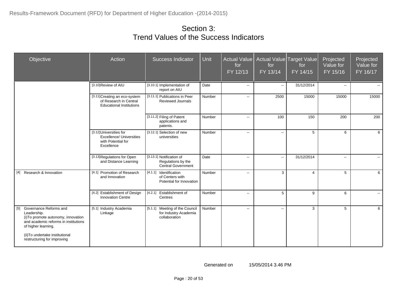| Objective                                                                                                                                                                                                              | Action                                                                                         | Success Indicator                                                           | Unit   | <b>Actual Value</b><br>for<br>FY 12/13 | Actual Value Target Value<br>for<br>FY 13/14 | for<br>FY 14/15 | Projected<br>Value for<br>FY 15/16 | Projected<br>Value for<br>FY 16/17 |
|------------------------------------------------------------------------------------------------------------------------------------------------------------------------------------------------------------------------|------------------------------------------------------------------------------------------------|-----------------------------------------------------------------------------|--------|----------------------------------------|----------------------------------------------|-----------------|------------------------------------|------------------------------------|
|                                                                                                                                                                                                                        | [3.10] Review of AIU                                                                           | [3.10.1] Implementation of<br>report on AIU                                 | Date   | $\sim$ $\sim$                          | $\sim$                                       | 31/12/2014      | $\sim$                             |                                    |
|                                                                                                                                                                                                                        | [3.11]Creating an eco-system<br>of Research in Central<br><b>Educational Institutions</b>      | [3.11.1] Publications in Peer<br><b>Reviewed Journals</b>                   | Number | $\mathbf{u}$                           | 2500                                         | 15000           | 15000                              | 15000                              |
|                                                                                                                                                                                                                        |                                                                                                | [3.11.2] Filing of Patent<br>applications and<br>patents.                   | Number | ۰.                                     | 100                                          | 150             | 200                                | 200                                |
|                                                                                                                                                                                                                        | [3.12] Universities for<br><b>Excellence/ Universities</b><br>with Potential for<br>Excellence | [3.12.1] Selection of new<br>universities                                   | Number | $\mathbf{u}$                           | $\sim$                                       | $5^{\circ}$     | 6                                  | 6                                  |
|                                                                                                                                                                                                                        | [3.13] Regulations for Open<br>and Distance Learning                                           | [3.13.1] Notification of<br>Regulations by the<br><b>Central Government</b> | Date   | $\sim$                                 | $\sim$                                       | 31/12/2014      | $\sim$                             | $\sim$                             |
| $[4]$<br>Research & Innovation                                                                                                                                                                                         | [4.1] Promotion of Research<br>and Innovation                                                  | [4.1.1] Identification<br>of Centers with<br>Potential for Innovation       | Number | $\mathbf{u}$                           | $\mathbf{3}$                                 | $\overline{4}$  | 5                                  | 6                                  |
|                                                                                                                                                                                                                        | [4.2] Establishment of Design<br><b>Innovation Centre</b>                                      | [4.2.1] Establishment of<br>Centres                                         | Number | $\sim$                                 | 5                                            | 9               | 6                                  | $\sim$                             |
| Governance Reforms and<br>$[5]$<br>Leadership.<br>(i) To promote autonomy, innovation<br>and academic reforms in institutions<br>of higher learning.<br>(ii) To undertake institutional<br>restructuring for improving | [5.1] Industry Academia<br>Linkage                                                             | [5.1.1] Meeting of the Council<br>for Industry Academia<br>collaboration    | Number | $\mathbf{u}$                           | $\sim$                                       | 3               | 5                                  | 6                                  |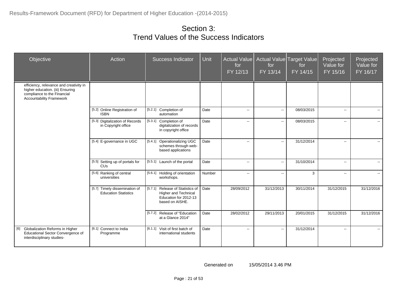| Objective                                                                                                                                     | Action                                                       | Success Indicator                                                                                           | Unit   | Actual Value<br>for<br>FY 12/13 | for<br>FY 13/14 | Actual Value Target Value<br>for<br>FY 14/15 | Projected<br>Value for<br>FY 15/16 | Projected<br>Value for<br>FY 16/17 |
|-----------------------------------------------------------------------------------------------------------------------------------------------|--------------------------------------------------------------|-------------------------------------------------------------------------------------------------------------|--------|---------------------------------|-----------------|----------------------------------------------|------------------------------------|------------------------------------|
| efficiency, relevance and creativity in<br>higher education. (iii) Ensuring<br>compliance to the Financial<br><b>Accountability Framework</b> |                                                              |                                                                                                             |        |                                 |                 |                                              |                                    |                                    |
|                                                                                                                                               | [5.2] Online Registration of<br><b>ISBN</b>                  | [5.2.1] Completion of<br>automation                                                                         | Date   | $\sim$                          | $\sim$          | 08/03/2015                                   | $\overline{\phantom{a}}$           | $\sim$ $\sim$                      |
|                                                                                                                                               | [5.3] Digitalization of Records<br>in Copyright office       | [5.3.1] Completion of<br>digitalization of records<br>in copyright office                                   | Date   | $\sim$                          | $\sim$          | 08/03/2015                                   | $\overline{\phantom{a}}$           | $\sim$ $\sim$                      |
|                                                                                                                                               | [5.4] E-governance in UGC                                    | [5.4.1]<br><b>Operationalizing UGC</b><br>schemes through web-<br>based applications                        | Date   | $\sim$                          | $\sim$          | 31/12/2014                                   | $\overline{\phantom{a}}$           | $\sim$ $-$                         |
|                                                                                                                                               | [5.5] Setting up of portals for<br><b>CU<sub>s</sub></b>     | [5.5.1]<br>Launch of the portal                                                                             | Date   | $\sim$                          | $\sim$          | 31/10/2014                                   | $\overline{\phantom{a}}$           | $\sim$ $-$                         |
|                                                                                                                                               | [5.6] Ranking of central<br>universities                     | [5.6.1] Holding of orientation<br>workshops.                                                                | Number | $\sim$                          | $\sim$          | 3                                            | $\sim$                             | $\sim$ $\sim$                      |
|                                                                                                                                               | [5.7] Timely dissemination of<br><b>Education Statistics</b> | [5.7.1] Release of Statistics of<br><b>Higher and Technical</b><br>Education for 2012-13<br>based on AISHE. | Date   | 28/09/2012                      | 31/12/2013      | 30/11/2014                                   | 31/12/2015                         | 31/12/2016                         |
|                                                                                                                                               |                                                              | [5.7.2] Release of "Education<br>at a Glance 2014"                                                          | Date   | 28/02/2012                      | 29/11/2013      | 20/01/2015                                   | 31/12/2015                         | 31/12/2016                         |
| Globalization Reforms in Higher<br>[6]<br>Educational Sector Convergence of<br>interdisciplinary studies-                                     | [6.1] Connect to India<br>Programme                          | [6.1.1] Visit of first batch of<br>international students                                                   | Date   | $\sim$ $\sim$                   | $\sim$          | 31/12/2014                                   | $\overline{\phantom{a}}$           | $\sim$ $\sim$                      |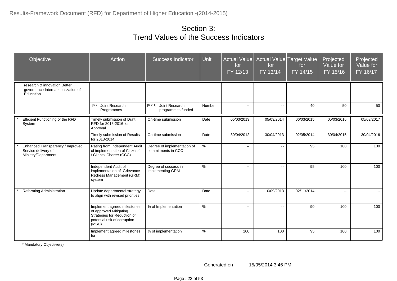| Objective                                                                       | Action                                                                                                                         | <b>Success Indicator</b>                          | Unit   | for<br>FY 12/13          | Actual Value   Actual Value   Target Value  <br>for<br>FY 13/14 | for<br>FY 14/15 | Projected<br>Value for<br>FY 15/16 | Projected<br>Value for<br>FY 16/17 |
|---------------------------------------------------------------------------------|--------------------------------------------------------------------------------------------------------------------------------|---------------------------------------------------|--------|--------------------------|-----------------------------------------------------------------|-----------------|------------------------------------|------------------------------------|
| research & innovation Better<br>governance Internationalization of<br>Education |                                                                                                                                |                                                   |        |                          |                                                                 |                 |                                    |                                    |
|                                                                                 | [6.2] Joint Research<br>Programmes                                                                                             | [6.2.1] Joint Research<br>programmes funded       | Number | $\sim$                   | $\sim$                                                          | 40              | 50                                 | 50                                 |
| Efficient Functioning of the RFD<br>System                                      | Timely submission of Draft<br>RFD for 2015-2016 for<br>Approval                                                                | On-time submission                                | Date   | 05/03/2013               | 05/03/2014                                                      | 06/03/2015      | 05/03/2016                         | 05/03/2017                         |
|                                                                                 | Timely submission of Results<br>for 2013-2014                                                                                  | On-time submission                                | Date   | 30/04/2012               | 30/04/2013                                                      | 02/05/2014      | 30/04/2015                         | 30/04/2016                         |
| Enhanced Transparency / Improved<br>Service delivery of<br>Ministry/Department  | Rating from Independent Audit<br>of implementation of Citizens'<br>/ Clients' Charter (CCC)                                    | Degree of implementation of<br>commitments in CCC | $\%$   | $\overline{\phantom{a}}$ | $\overline{\phantom{a}}$                                        | 95              | 100                                | 100                                |
|                                                                                 | Independent Audit of<br>implementation of Grievance<br>Redress Management (GRM)<br>system                                      | Degree of success in<br>implementing GRM          | $\%$   | $\sim$                   | $\mathord{\hspace{1pt}\text{--}\hspace{1pt}}$                   | 95              | 100                                | 100                                |
| Reforming Administration                                                        | Update departmental strategy<br>to align with revised priorities                                                               | Date                                              | Date   | $\overline{\phantom{a}}$ | 10/09/2013                                                      | 02/11/2014      | $\overline{a}$                     | $\sim$                             |
|                                                                                 | Implement agreed milestones<br>of approved Mitigating<br>Strategies for Reduction of<br>potential risk of corruption<br>(MSC). | % of Implementation                               | $\%$   | $\overline{\phantom{a}}$ | ÷÷                                                              | 90              | 100                                | 100                                |
|                                                                                 | Implement agreed milestones<br>for                                                                                             | % of implementation                               | $\%$   | 100                      | 100                                                             | 95              | 100                                | 100                                |

\* Mandatory Objective(s)

Generated on 15/05/2014 3.46 PM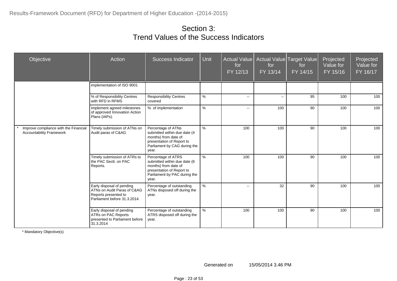| Objective                                                                | Action                                                                                                           | <b>Success Indicator</b>                                                                                                                         | Unit | Actual Value<br>for<br>FY 12/13 | for<br>FY 13/14 | Actual Value Target Value<br>for<br>FY 14/15 | Projected<br>Value for<br>FY 15/16 | Projected<br>Value for<br>FY 16/17 |
|--------------------------------------------------------------------------|------------------------------------------------------------------------------------------------------------------|--------------------------------------------------------------------------------------------------------------------------------------------------|------|---------------------------------|-----------------|----------------------------------------------|------------------------------------|------------------------------------|
|                                                                          | implementation of ISO 9001                                                                                       |                                                                                                                                                  |      |                                 |                 |                                              |                                    |                                    |
|                                                                          | % of Responsibility Centres<br>with RFD in RFMS                                                                  | <b>Responsibility Centres</b><br>covered                                                                                                         | $\%$ | $\overline{a}$                  | $\sim$          | 95                                           | 100                                | 100                                |
|                                                                          | Implement agreed milestones<br>of approved Innovation Action<br>Plans (IAPs).                                    | % of implementation                                                                                                                              | $\%$ | $\overline{a}$                  | 100             | 90                                           | 100                                | 100                                |
| Improve compliance with the Financial<br><b>Accountability Framework</b> | Timely submission of ATNs on<br>Audit paras of C&AG                                                              | Percentage of ATNs<br>submitted within due date (4<br>months) from date of<br>presentation of Report to<br>Parliament by CAG during the<br>year. | $\%$ | 100                             | 100             | 90                                           | 100                                | 100                                |
|                                                                          | Timely submission of ATRs to<br>the PAC Sectt. on PAC<br>Reports.                                                | Percentage of ATRS<br>submitted within due date (6<br>months) from date of<br>presentation of Report to<br>Parliament by PAC during the<br>year. | $\%$ | 100                             | 100             | 90                                           | 100                                | 100                                |
|                                                                          | Early disposal of pending<br>ATNs on Audit Paras of C&AG<br>Reports presented to<br>Parliament before 31.3.2014. | Percentage of outstanding<br>ATNs disposed off during the<br>year.                                                                               | $\%$ | $\overline{\phantom{a}}$        | 32              | 90                                           | 100                                | 100                                |
|                                                                          | Early disposal of pending<br>ATRs on PAC Reports<br>presented to Parliament before<br>31.3.2014                  | Percentage of outstanding<br>ATRS disposed off during the<br>year.                                                                               | %    | 100                             | 100             | 90                                           | 100                                | 100                                |

\* Mandatory Objective(s)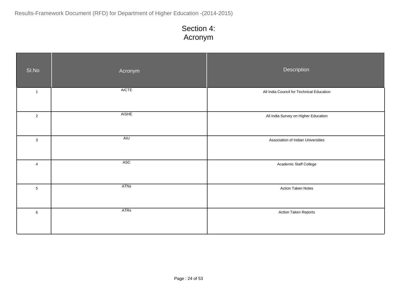| SI.No          | Acronym      | Description                               |
|----------------|--------------|-------------------------------------------|
| $\overline{1}$ | <b>AICTE</b> | All India Council for Technical Education |
| $\overline{2}$ | <b>AISHE</b> | All India Survey on Higher Education      |
| $\mathbf{3}$   | AIU          | Association of Indian Universities        |
| $\overline{4}$ | ASC          | Academic Staff College                    |
| $\sqrt{5}$     | <b>ATNs</b>  | <b>Action Taken Notes</b>                 |
| $\,6$          | <b>ATRs</b>  | Action Taken Reports                      |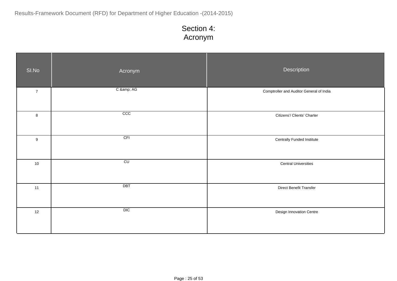| SI.No            | Acronym          | Description                              |
|------------------|------------------|------------------------------------------|
| $\overline{7}$   | C & AG           | Comptroller and Auditor General of India |
| $\bf 8$          | $\overline{ccc}$ | Citizens'/ Clients' Charter              |
| $\boldsymbol{9}$ | CFI              | Centrally Funded Institute               |
| 10               | CU               | <b>Central Universities</b>              |
| 11               | DBT              | Direct Benefit Transfer                  |
| 12               | DIC              | Design Innovation Centre                 |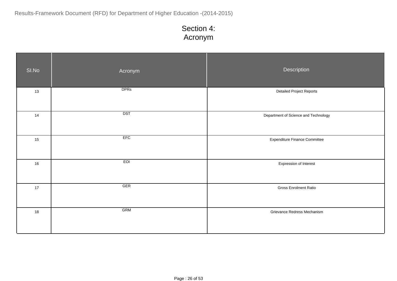| SI.No | Acronym     | Description                          |
|-------|-------------|--------------------------------------|
| 13    | <b>DPRs</b> | <b>Detailed Project Reports</b>      |
| 14    | <b>DST</b>  | Department of Science and Technology |
| 15    | EFC         | <b>Expenditure Finance Committee</b> |
| 16    | EOI         | Expression of Interest               |
| 17    | GER         | <b>Gross Enrolment Ratio</b>         |
| 18    | GRM         | Grievance Redress Mechanism          |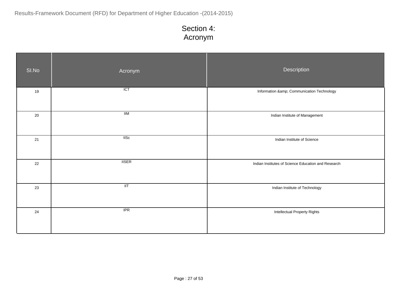| SI.No | Acronym                                       | Description                                         |
|-------|-----------------------------------------------|-----------------------------------------------------|
| 19    | <b>ICT</b>                                    | Information & Communication Technology              |
| 20    | IIIM                                          | Indian Institute of Management                      |
| 21    | $\overline{\text{IISc}}$                      | Indian Institute of Science                         |
| 22    | <b>IISER</b>                                  | Indian Institutes of Science Education and Research |
| 23    | $\overline{\mathsf{I} \mathsf{I} \mathsf{T}}$ | Indian Institute of Technology                      |
| 24    | IPR                                           | <b>Intellectual Property Rights</b>                 |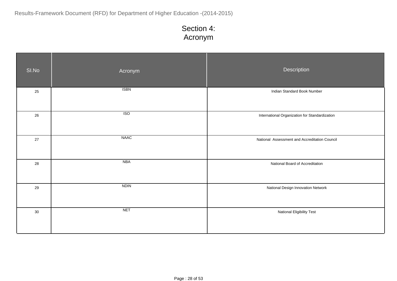| SI.No  | Acronym          | Description                                    |
|--------|------------------|------------------------------------------------|
| 25     | <b>ISBN</b>      | Indian Standard Book Number                    |
| 26     | $\overline{ISO}$ | International Organization for Standardization |
| $27\,$ | <b>NAAC</b>      | National Assessment and Accreditation Council  |
| 28     | <b>NBA</b>       | National Board of Accreditation                |
| 29     | <b>NDIN</b>      | National Design Innovation Network             |
| 30     | NET              | National Eligibility Test                      |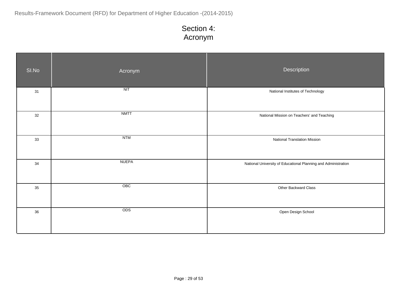| SI.No | Acronym          | Description                                                    |
|-------|------------------|----------------------------------------------------------------|
| 31    | $\overline{NIT}$ | National Institutes of Technology                              |
| 32    | <b>NMTT</b>      | National Mission on Teachers' and Teaching                     |
| 33    | NTM              | <b>National Translation Mission</b>                            |
| 34    | <b>NUEPA</b>     | National University of Educational Planning and Administration |
| 35    | OBC              | Other Backward Class                                           |
| 36    | ODS              | Open Design School                                             |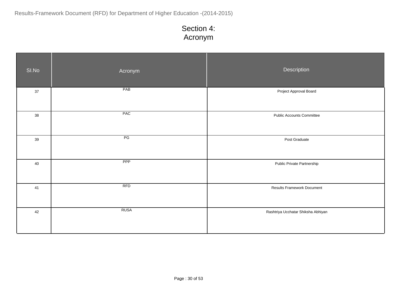| SI.No  | Acronym     | Description                        |
|--------|-------------|------------------------------------|
| $37\,$ | PAB         | Project Approval Board             |
| 38     | PAC         | <b>Public Accounts Committee</b>   |
| 39     | PG          | Post Graduate                      |
| 40     | PPP         | Public Private Partnership         |
| 41     | RFD         | <b>Results Framework Document</b>  |
| 42     | <b>RUSA</b> | Rashtriya Ucchatar Shiksha Abhiyan |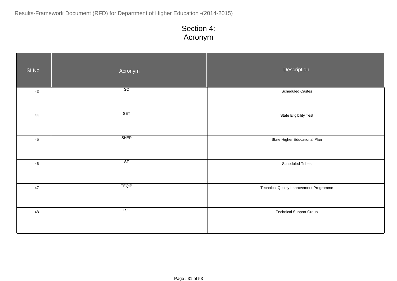| SI.No  | Acronym         | Description                                    |
|--------|-----------------|------------------------------------------------|
| 43     | $\overline{SC}$ | <b>Scheduled Castes</b>                        |
| 44     | <b>SET</b>      | <b>State Eligibility Test</b>                  |
| 45     | <b>SHEP</b>     | State Higher Educational Plan                  |
| 46     | ST              | <b>Scheduled Tribes</b>                        |
| $47\,$ | <b>TEQIP</b>    | <b>Technical Quality Improvement Programme</b> |
| 48     | <b>TSG</b>      | <b>Technical Support Group</b>                 |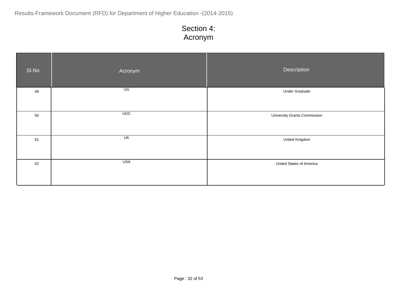| SI.No | Acronym             | Description                         |
|-------|---------------------|-------------------------------------|
| 49    | $\overline{\cup G}$ | <b>Under Graduate</b>               |
| 50    | $\overline{UGC}$    | <b>University Grants Commission</b> |
| 51    | UK                  | <b>United Kingdom</b>               |
| 52    | <b>USA</b>          | United States of America            |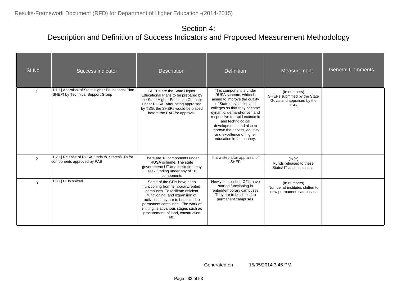| SI.No          | Success indicator                                                                       | <b>Description</b>                                                                                                                                                                                                                                                                                     | <b>Definition</b>                                                                                                                                                                                                                                                                                                                                     | Measurement                                                                        | <b>General Comments</b> |
|----------------|-----------------------------------------------------------------------------------------|--------------------------------------------------------------------------------------------------------------------------------------------------------------------------------------------------------------------------------------------------------------------------------------------------------|-------------------------------------------------------------------------------------------------------------------------------------------------------------------------------------------------------------------------------------------------------------------------------------------------------------------------------------------------------|------------------------------------------------------------------------------------|-------------------------|
|                | [1.1.1] Appraisal of State Higher Educational Plan<br>(SHEP) by Technical Support Group | SHEPs are the State Higher<br>Educational Plans to be prepared by<br>the State Higher Education Councils<br>under RUSA. After being appraised<br>by TSG, the SHEPs would be placed<br>before the PAB for approval.                                                                                     | This component is under<br>RUSA scheme, which is<br>aimed to improve the quality<br>of State universities and<br>colleges so that they become<br>dynamic, demand-driven and<br>responsive to rapid economic<br>and technological<br>developments and also to<br>improve the access, equality<br>and excellence of higher<br>education in the country. | (In numbers)<br>SHEPs submitted by the State<br>Govts and appraised by the<br>TSG. |                         |
| $\overline{2}$ | 1.2.1] Release of RUSA funds to States/UTs for<br>components approved by PAB            | There are 18 components under<br>RUSA scheme. The state<br>government/ UT and institution may<br>seek funding under any of 18<br>components                                                                                                                                                            | It is a step after appraisal of<br><b>SHEP</b>                                                                                                                                                                                                                                                                                                        | (in %)<br>Funds released to these<br>State/UT and institutions.                    |                         |
| 3              | [1.3.1] CFIs shifted                                                                    | Some of the CFIs have been<br>functioning from temporary/rented<br>campuses. To facilitate efficient<br>functioning and expansion of<br>activities, they are to be shifted to<br>permanent campuses. The work of<br>shifting is at various stages such as<br>procurement of land, construction<br>etc. | Newly established CFIs have<br>started functioning in<br>rented/temporary campuses.<br>They are to be shifted to<br>permanent campuses.                                                                                                                                                                                                               | (In numbers)<br>Number of institutes shifted to<br>new permanent campuses.         |                         |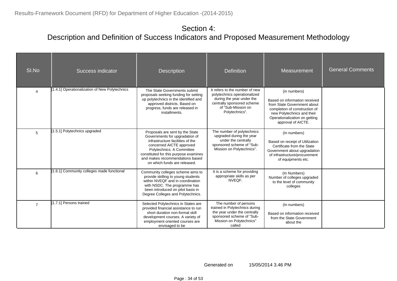| SI.No                 | Success indicator                              | <b>Description</b>                                                                                                                                                                                                                                                         | <b>Definition</b>                                                                                                                                                 | Measurement                                                                                                                                                                                        | <b>General Comments</b> |
|-----------------------|------------------------------------------------|----------------------------------------------------------------------------------------------------------------------------------------------------------------------------------------------------------------------------------------------------------------------------|-------------------------------------------------------------------------------------------------------------------------------------------------------------------|----------------------------------------------------------------------------------------------------------------------------------------------------------------------------------------------------|-------------------------|
| $\boldsymbol{\Delta}$ | [1.4.1] Operationalization of New Polytechnics | The State Governments submit<br>proposals seeking funding for setting<br>up polytechnics in the identified and<br>approved districts. Based on<br>progress, funds are released in<br>installments.                                                                         | It refers to the number of new<br>polytechnics operationalized<br>during the year under the<br>centrally sponsored scheme<br>of "Sub-Mission on<br>Polytechnics". | (in numbers)<br>Based on information received<br>from State Government about<br>completion of construction of<br>new Polytechnics and their<br>Operationalization on getting<br>approval of AICTE. |                         |
| 5                     | 1.5.1] Polytechnics upgraded                   | Proposals are sent by the State<br>Governments for upgradation of<br>infrastructure facilities of the<br>concerned AICTE approved<br>Polytechnics. A Committee<br>constituted for this purpose examines<br>and makes recommendations based<br>on which funds are released. | The number of polytechnics<br>upgraded during the year<br>under the centrally<br>sponsored scheme of "Sub-<br>Mission on Polytechnics".                           | (In numbers)<br>Based on receipt of Utilization<br>Certificate from the State<br>Government about upgradation<br>of infrastructure/procurement<br>of equipments etc.                               |                         |
| 6                     | 1.6.1] Community colleges made functional      | Community colleges scheme aims to<br>provide skilling to young students<br>within NVEQF and in coordination<br>with NSDC. The programme has<br>been introduced on pilot basis in<br>Degree Colleges and Polytechnics.                                                      | It is a scheme for providing<br>appropriate skills as per<br>NVEOF.                                                                                               | (In Numbers)<br>Number of colleges upgraded<br>to the level of community<br>colleges                                                                                                               |                         |
| $\overline{7}$        | [1.7.1] Persons trained                        | Selected Polytechnics in States are<br>provided financial assistance to run<br>short duration non-formal skill<br>development courses. A variety of<br>employment oriented courses are<br>envisaged to be                                                                  | The number of persons<br>trained in Polytechnics during<br>the year under the centrally<br>sponsored scheme of "Sub-<br>Mission on Polytechnics"<br>called        | (In numbers)<br>Based on information received<br>from the State Government<br>about the                                                                                                            |                         |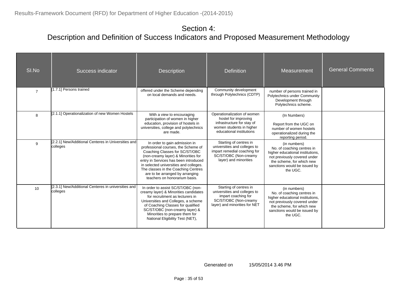| SI.No          | Success indicator                                               | <b>Description</b>                                                                                                                                                                                                                                                                                                                          | <b>Definition</b>                                                                                                                         | Measurement                                                                                                                                                                             | <b>General Comments</b> |
|----------------|-----------------------------------------------------------------|---------------------------------------------------------------------------------------------------------------------------------------------------------------------------------------------------------------------------------------------------------------------------------------------------------------------------------------------|-------------------------------------------------------------------------------------------------------------------------------------------|-----------------------------------------------------------------------------------------------------------------------------------------------------------------------------------------|-------------------------|
| $\overline{7}$ | [1.7.1] Persons trained                                         | offered under the Scheme depending<br>on local demands and needs.                                                                                                                                                                                                                                                                           | Community development<br>through Polytechnics (CDTP)                                                                                      | number of persons trained in<br>Polytechnics under Community<br>Development through<br>Polytechnics scheme.                                                                             |                         |
| 8              | [2.1.1] Operationalization of new Women Hostels                 | With a view to encouraging<br>participation of women in higher<br>education, provision of hostels in<br>universities, college and polytechnics<br>are made.                                                                                                                                                                                 | Operationalization of women<br>hostel for improving<br>infrastructure for stay of<br>women students in higher<br>educational institutions | (In Numbers)<br>Report from the UGC on<br>number of women hostels<br>operationalized during the<br>reporting period.                                                                    |                         |
| 9              | [2.2.1] New/Additional Centeres in Universities and<br>colleges | In order to gain admission in<br>professional courses, the Scheme of<br>Coaching Classes for SC/ST/OBC<br>(non-creamy layer) & Minorities for<br>entry in Services has been introduced<br>in selected universities and colleges.<br>The classes in the Coaching Centres<br>are to be arranged by arranging<br>teachers on honorarium basis. | Starting of centres in<br>universities and colleges to<br>impart remedial coaching for<br>SC/ST/OBC (Non-creamy<br>layer) and minorities  | (in numbers)<br>No. of coaching centres in<br>higher educational institutions,<br>not previously covered under<br>the scheme, for which new<br>sanctions would be issued by<br>the UGC. |                         |
| 10             | [2.3.1] New/Additional Centeres in universities and<br>colleges | In order to assist SC/ST/OBC (non-<br>creamy layer) & Minorities candidates<br>for recruitment as lecturers in<br>Universities and Colleges, a scheme<br>of Coaching Classes for qualified<br>SC/ST/OBC (non-creamy layer) &<br>Minorities to prepare them for<br>National Eligibility Test (NET),                                          | Starting of centres in<br>universities and colleges to<br>impart coaching for<br>SC/ST/OBC (Non-creamy<br>layer) and minorities for NET   | (in numbers)<br>No. of coaching centres in<br>higher educational institutions,<br>not previously covered under<br>the scheme, for which new<br>sanctions would be issued by<br>the UGC. |                         |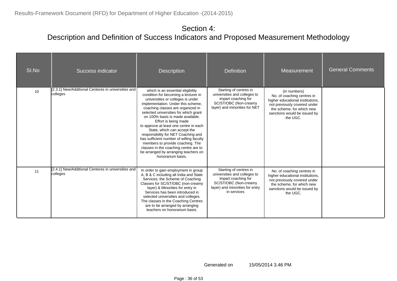| SI.No | Success indicator                                               | <b>Description</b>                                                                                                                                                                                                                                                                                                                                                                                                                                                                                                                                                                                   | <b>Definition</b>                                                                                                                                        | Measurement                                                                                                                                                                             | <b>General Comments</b> |
|-------|-----------------------------------------------------------------|------------------------------------------------------------------------------------------------------------------------------------------------------------------------------------------------------------------------------------------------------------------------------------------------------------------------------------------------------------------------------------------------------------------------------------------------------------------------------------------------------------------------------------------------------------------------------------------------------|----------------------------------------------------------------------------------------------------------------------------------------------------------|-----------------------------------------------------------------------------------------------------------------------------------------------------------------------------------------|-------------------------|
| 10    | [2.3.1] New/Additional Centeres in universities and<br>colleges | which is an essential eligibility<br>condition for becoming a lecturer in<br>universities or colleges is under<br>implementation. Under this scheme,<br>coaching classes are organized in<br>selected universities for which grant<br>on 100% basis is made available.<br>Effort is being made<br>to approve at least one centre in each<br>State, which can accept the<br>responsibility for NET Coaching and<br>has sufficient number of willing faculty<br>members to provide coaching. The<br>classes in the coaching centre are to<br>be arranged by arranging teachers on<br>honorarium basis. | Starting of centres in<br>universities and colleges to<br>impart coaching for<br>SC/ST/OBC (Non-creamy<br>layer) and minorities for NET                  | (in numbers)<br>No. of coaching centres in<br>higher educational institutions,<br>not previously covered under<br>the scheme, for which new<br>sanctions would be issued by<br>the UGC. |                         |
| 11    | [2.4.1] New/Additional Centeres in universities and<br>colleges | In order to gain employment in group<br>A, B & C including all India and State<br>Services, the Scheme of Coaching<br>Classes for SC/ST/OBC (non-creamy<br>layer) & Minorities for entry in<br>Services has been introduced in<br>selected universities and colleges.<br>The classes in the Coaching Centres<br>are to be arranged by arranging<br>teachers on honorarium basis.                                                                                                                                                                                                                     | Starting of centres in<br>universities and colleges to<br>impart coaching for<br>SC/ST/OBC (Non-creamy<br>layer) and minorities for entry<br>in services | No. of coaching centres in<br>higher educational institutions,<br>not previously covered under<br>the scheme, for which new<br>sanctions would be issued by<br>the UGC.                 |                         |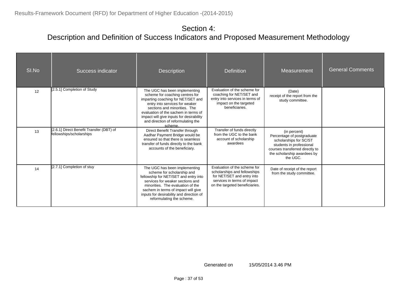| SI.No | Success indicator                                                    | <b>Description</b>                                                                                                                                                                                                                                                                                            | <b>Definition</b>                                                                                                                                           | Measurement                                                                                                                                                                    | <b>General Comments</b> |
|-------|----------------------------------------------------------------------|---------------------------------------------------------------------------------------------------------------------------------------------------------------------------------------------------------------------------------------------------------------------------------------------------------------|-------------------------------------------------------------------------------------------------------------------------------------------------------------|--------------------------------------------------------------------------------------------------------------------------------------------------------------------------------|-------------------------|
| 12    | [2.5.1] Completion of Study                                          | The UGC has been implementing<br>scheme for coaching centres for<br>imparting coaching for NET/SET and<br>entry into services for weaker<br>sections and minorities. The<br>evaluation of the sachem in terms of<br>impact will give inputs for desirability<br>and direction of reformulating the<br>scheme. | Evaluation of the scheme for<br>coaching for NET/SET and<br>entry into services in terms of<br>impact on the targeted<br>beneficiaries.                     | (Date)<br>receipt of the report from the<br>study committee.                                                                                                                   |                         |
| 13    | [2.6.1] Direct Benefit Transfer (DBT) of<br>fellowships/scholarships | Direct Benefit Transfer through<br>Aadhar Payment Bridge would be<br>ensured so that there is seamless<br>transfer of funds directly to the bank<br>accounts of the beneficiary.                                                                                                                              | Transfer of funds directly<br>from the UGC to the bank<br>account of scholarship<br>awardees                                                                | (in percent)<br>Percentage of postgraduate<br>scholarships for SC/ST<br>students in professional<br>courses transferred directly to<br>the scholarship awardees by<br>the UGC. |                         |
| 14    | [2.7.1] Completion of stuy                                           | The UGC has been implementing<br>scheme for scholarship and<br>fellowship for NET/SET and entry into<br>services for weaker sections and<br>minorities. The evaluation of the<br>sachem in terms of impact will give<br>inputs for desirability and direction of<br>reformulating the scheme.                 | Evaluation of the scheme for<br>scholarships and fellowships<br>for NET/SET and entry into<br>services in terms of impact<br>on the targeted beneficiaries. | Date of receipt of the report<br>from the study committee.                                                                                                                     |                         |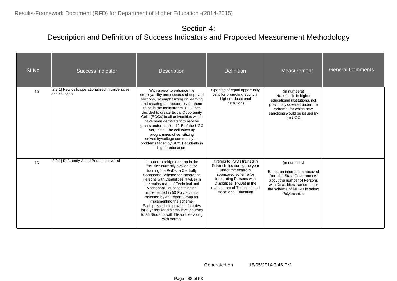| SI.No | Success indicator                                                 | <b>Description</b>                                                                                                                                                                                                                                                                                                                                                                                                                                                                                                | <b>Definition</b>                                                                                                                                                                                                                   | Measurement                                                                                                                                                                                    | <b>General Comments</b> |
|-------|-------------------------------------------------------------------|-------------------------------------------------------------------------------------------------------------------------------------------------------------------------------------------------------------------------------------------------------------------------------------------------------------------------------------------------------------------------------------------------------------------------------------------------------------------------------------------------------------------|-------------------------------------------------------------------------------------------------------------------------------------------------------------------------------------------------------------------------------------|------------------------------------------------------------------------------------------------------------------------------------------------------------------------------------------------|-------------------------|
| 15    | [2.8.1] New cells operationalised in universities<br>and colleges | With a view to enhance the<br>employability and success of deprived<br>sections, by emphasizing on learning<br>and creating an opportunity for them<br>to be in the mainstream. UGC has<br>decided to create Equal Opportunity<br>Cells (EOCs) in all universities which<br>have been declared fit to receive<br>grants under section 12-B of the UGC<br>Act, 1956. The cell takes up<br>programmes of sensitizing<br>university/college community on<br>problems faced by SC/ST students in<br>higher education. | Opening of equal opportunity<br>cells for promoting equity in<br>higher educational<br>institutions                                                                                                                                 | (in numbers)<br>No. of cells in higher<br>educational institutions, not<br>previously covered under the<br>scheme, for which new<br>sanctions would be issued by<br>the UGC.                   |                         |
| 16    | [2.9.1] Differently Abled Persons covered                         | In order to bridge the gap in the<br>facilities currently available for<br>training the PwDs, a Centrally<br>Sponsored Scheme for Integrating<br>Persons with Disabilities (PwDs) in<br>the mainstream of Technical and<br>Vocational Education is being<br>implemented in 50 Polytechnics<br>selected by an Expert Group for<br>implementing the scheme.<br>Each polytechnic provides facilities<br>for 3-yr regular diploma level courses<br>to 25 Students with Disabilities along<br>with normal              | It refers to PwDs trained in<br>Polytechnics during the year<br>under the centrally<br>sponsored scheme for<br>Integrating Persons with<br>Disabilities (PwDs) in the<br>mainstream of Technical and<br><b>Vocational Education</b> | (in numbers)<br>Based on information received<br>from the State Governments<br>about the number of Persons<br>with Disabilities trained under<br>the scheme of MHRD in select<br>Polytechnics. |                         |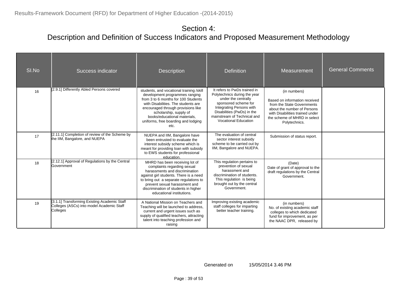| SI.No | Success indicator                                                                                     | <b>Description</b>                                                                                                                                                                                                                                                                                      | <b>Definition</b>                                                                                                                                                                                                                   | Measurement                                                                                                                                                                                    | <b>General Comments</b> |
|-------|-------------------------------------------------------------------------------------------------------|---------------------------------------------------------------------------------------------------------------------------------------------------------------------------------------------------------------------------------------------------------------------------------------------------------|-------------------------------------------------------------------------------------------------------------------------------------------------------------------------------------------------------------------------------------|------------------------------------------------------------------------------------------------------------------------------------------------------------------------------------------------|-------------------------|
| 16    | [2.9.1] Differently Abled Persons covered                                                             | students, and vocational training /skill<br>development programmes ranging<br>from 3 to 6 months for 100 Students<br>with Disabilities. The students are<br>encouraged through provisions like<br>scholarship, supply of<br>books/educational materials.<br>uniforms, free boarding and lodging<br>etc. | It refers to PwDs trained in<br>Polytechnics during the year<br>under the centrally<br>sponsored scheme for<br>Integrating Persons with<br>Disabilities (PwDs) in the<br>mainstream of Technical and<br><b>Vocational Education</b> | (in numbers)<br>Based on information received<br>from the State Governments<br>about the number of Persons<br>with Disabilities trained under<br>the scheme of MHRD in select<br>Polytechnics. |                         |
| 17    | [2.11.1] Completion of review of the Scheme by<br>the IIM, Bangalore, and NUEPA                       | NUEPA and IIM, Bangalore have<br>been entrusted to evaluate the<br>interest subsidy scheme which is<br>meant for providing loan with subsidy<br>to EWS students for professional<br>education.                                                                                                          | The evaluation of central<br>sector interest subsidy<br>scheme to be carried out by<br>IIM, Bangalore and NUEPA.                                                                                                                    | Submission of status report.                                                                                                                                                                   |                         |
| 18    | [2.12.1] Approval of Regulations by the Central<br>Government                                         | MHRD has been receiving lot of<br>complaints regarding sexual<br>harassments and discrimination<br>against girl students. There is a need<br>to bring out a separate regulations to<br>prevent sexual harassment and<br>discrimination of students in higher<br>educational institutions.               | This regulation pertains to<br>prevention of sexual<br>harassment and<br>discrimination of students.<br>This regulation is being<br>brought out by the central<br>Government.                                                       | (Date)<br>Date of grant of approval to the<br>draft regulations by the Central<br>Government.                                                                                                  |                         |
| 19    | [3.1.1] Transforming Existing Academic Staff<br>Colleges (ASCs) into model Academic Staff<br>Colleges | A National Mission on Teachers and<br>Teaching will be launched to address,<br>current and urgent issues such as<br>supply of qualified teachers, attracting<br>talent into teaching profession and<br>raising                                                                                          | Improving existing academic<br>staff colleges for imparting<br>better teacher training.                                                                                                                                             | (in numbers)<br>No. of existing academic staff<br>colleges to which dedicated<br>fund for improvement, as per<br>the NAAC DPR, released by                                                     |                         |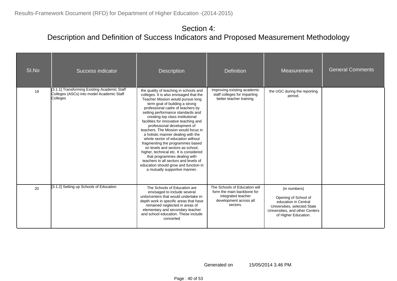| SI.No | Success indicator                                                                                     | <b>Description</b>                                                                                                                                                                                                                                                                                                                                                                                                                                                                                                                                                                                                                                                                                                                       | <b>Definition</b>                                                                                                       | Measurement                                                                                                                                             | <b>General Comments</b> |
|-------|-------------------------------------------------------------------------------------------------------|------------------------------------------------------------------------------------------------------------------------------------------------------------------------------------------------------------------------------------------------------------------------------------------------------------------------------------------------------------------------------------------------------------------------------------------------------------------------------------------------------------------------------------------------------------------------------------------------------------------------------------------------------------------------------------------------------------------------------------------|-------------------------------------------------------------------------------------------------------------------------|---------------------------------------------------------------------------------------------------------------------------------------------------------|-------------------------|
| 19    | [3.1.1] Transforming Existing Academic Staff<br>Colleges (ASCs) into model Academic Staff<br>Colleges | the quality of teaching in schools and<br>colleges. It is also envisaged that the<br>Teacher Mission would pursue long<br>term goal of building a strong<br>professional cadre of teachers by<br>setting performance standards and<br>creating top class institutional<br>facilities for innovative teaching and<br>professional development of<br>teachers. The Mission would focus in<br>a holistic manner dealing with the<br>whole sector of education without<br>fragmenting the programmes based<br>on levels and sectors as school,<br>higher, technical etc. It is considered<br>that programmes dealing with<br>teachers in all sectors and levels of<br>education should grow and function in<br>a mutually supportive manner. | Improving existing academic<br>staff colleges for imparting<br>better teacher training.                                 | the UGC during the reporting<br>period.                                                                                                                 |                         |
| 20    | [3.1.2] Setting up Schools of Education                                                               | The Schools of Education are<br>envisaged to include several<br>units/centers that would undertake in-<br>depth work in specific areas that have<br>remained neglected in areas of<br>elementary and secondary teacher<br>and school education. These include<br>concerted                                                                                                                                                                                                                                                                                                                                                                                                                                                               | The Schools of Education will<br>form the main backbone for<br>integrated teacher<br>development across all<br>sectors. | (in numbers)<br>Opening of School of<br>education in Central<br>Universities, selected State<br>Universities, and other Centers<br>of Higher Education. |                         |

Generated on 15/05/2014 3.46 PM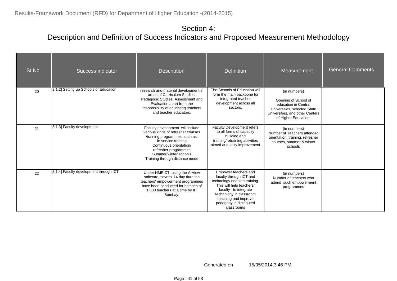| SI.No | Success indicator                       | <b>Description</b>                                                                                                                                                                                                                            | <b>Definition</b>                                                                                                                                                                                                               | Measurement                                                                                                                                             | <b>General Comments</b> |
|-------|-----------------------------------------|-----------------------------------------------------------------------------------------------------------------------------------------------------------------------------------------------------------------------------------------------|---------------------------------------------------------------------------------------------------------------------------------------------------------------------------------------------------------------------------------|---------------------------------------------------------------------------------------------------------------------------------------------------------|-------------------------|
| 20    | [3.1.2] Setting up Schools of Education | research and material development in<br>areas of Curriculum Studies.<br>Pedagogic Studies, Assessment and<br>Evaluation apart from the<br>responsibility of educating teachers<br>and teacher educators.                                      | The Schools of Education will<br>form the main backbone for<br>integrated teacher<br>development across all<br>sectors.                                                                                                         | (in numbers)<br>Opening of School of<br>education in Central<br>Universities, selected State<br>Universities, and other Centers<br>of Higher Education. |                         |
| 21    | [3.1.3] Faculty development             | Faculty development will include<br>various kinds of refresher courses<br>/training programmes, such as:<br>In service training<br>Continuous orientation/<br>refresher programmes<br>Summer/winter schools<br>Training through distance mode | <b>Faculty Development refers</b><br>to all forms of capacity<br>building and<br>training/retraining activities<br>aimed at quality improvement                                                                                 | (in numbers)<br>Number of Teachers attended<br>orientation, training, refresher<br>courses, summer & winter<br>schools                                  |                         |
| 22    | [3.1.4] Faculty development through ICT | Under NMEICT, using the A-View<br>software, several 14 day duration<br>teachers' empowerment programmes<br>have been conducted for batches of<br>1,000 teachers at a time by IIT<br>Bombay.                                                   | Empower teachers and<br>faculty through ICT and<br>technology enabled training.<br>This will help teachers/<br>faculty to integrate<br>technology in classroom<br>teaching and improve<br>pedagogy in distributed<br>classrooms | (in numbers)<br>Number of teachers who<br>attend such empowerment<br>programmes                                                                         |                         |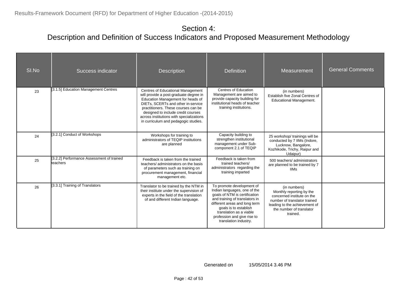| SI.No | Success indicator                                     | <b>Description</b>                                                                                                                                                                                                                                                                                                      | <b>Definition</b>                                                                                                                                                                                                                                                         | Measurement                                                                                                                                                                     | <b>General Comments</b> |
|-------|-------------------------------------------------------|-------------------------------------------------------------------------------------------------------------------------------------------------------------------------------------------------------------------------------------------------------------------------------------------------------------------------|---------------------------------------------------------------------------------------------------------------------------------------------------------------------------------------------------------------------------------------------------------------------------|---------------------------------------------------------------------------------------------------------------------------------------------------------------------------------|-------------------------|
| 23    | [3.1.5] Education Management Centres                  | Centres of Educational Management<br>will provide a post-graduate degree in<br>Education Management for heads of<br>DIETs, SCERTs and other in-service<br>practitioners. These courses can be<br>designed to include credit courses<br>across institutions with specializations<br>in curriculum and pedagogic studies. | Centres of Education<br>Management are aimed to<br>provide capacity building for<br>institutional heads of teacher<br>training institutions.                                                                                                                              | (in numbers)<br>Establish five Zonal Centres of<br><b>Educational Management.</b>                                                                                               |                         |
| 24    | [3.2.1] Conduct of Workshops                          | Workshops for training to<br>administrators of TEQIP institutions<br>are planned                                                                                                                                                                                                                                        | Capacity building to<br>strengthen institutional<br>management under Sub-<br>component 2.1 of TEQIP                                                                                                                                                                       | 25 workshop/ trainings will be<br>conducted by 7 IIMs (Indore,<br>Lucknow, Bangalore,<br>Kozhikode, Trichy, Raipur and<br>Udaipur)                                              |                         |
| 25    | [3.2.2] Performance Assessment of trained<br>teachers | Feedback is taken from the trained<br>teachers/ administrators on the basis<br>of parameters such as training on<br>procurement management, financial<br>management etc.                                                                                                                                                | Feedback is taken from<br>trained teachers/<br>administrators regarding the<br>training imparted                                                                                                                                                                          | 500 teachers/ administrators<br>are planned to be trained by 7<br><b>IIMs</b>                                                                                                   |                         |
| 26    | [3.3.1] Training of Translators                       | Translator to be trained by the NTM in<br>their institute under the supervision of<br>experts in the field of the translation<br>of and different Indian language.                                                                                                                                                      | To promote development of<br>Indian languages, one of the<br>goals of NTM is certification<br>and training of translators in<br>different areas and long term<br>goals is to establish<br>translation as a viable<br>profession and give rise to<br>translation industry. | (in numbers)<br>Monthly reporting by the<br>concerned institute on the<br>number of translator trained<br>leading to the achievement of<br>the number of translator<br>trained. |                         |

Generated on 15/05/2014 3.46 PM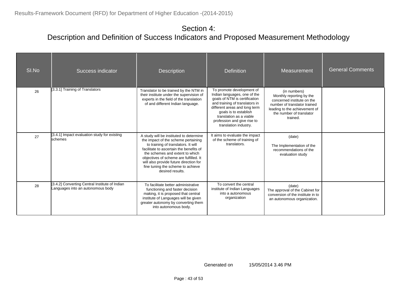| SI.No | Success indicator                                                                   | <b>Description</b>                                                                                                                                                                                                                                                                                                                               | <b>Definition</b>                                                                                                                                                                                                                                                         | Measurement                                                                                                                                                                     | <b>General Comments</b> |
|-------|-------------------------------------------------------------------------------------|--------------------------------------------------------------------------------------------------------------------------------------------------------------------------------------------------------------------------------------------------------------------------------------------------------------------------------------------------|---------------------------------------------------------------------------------------------------------------------------------------------------------------------------------------------------------------------------------------------------------------------------|---------------------------------------------------------------------------------------------------------------------------------------------------------------------------------|-------------------------|
| 26    | [3.3.1] Training of Translators                                                     | Translator to be trained by the NTM in<br>their institute under the supervision of<br>experts in the field of the translation<br>of and different Indian language.                                                                                                                                                                               | To promote development of<br>Indian languages, one of the<br>goals of NTM is certification<br>and training of translators in<br>different areas and long term<br>goals is to establish<br>translation as a viable<br>profession and give rise to<br>translation industry. | (in numbers)<br>Monthly reporting by the<br>concerned institute on the<br>number of translator trained<br>leading to the achievement of<br>the number of translator<br>trained. |                         |
| 27    | [3.4.1] Impact evaluation study for existing<br>schemes                             | A study will be instituted to determine<br>the impact of the scheme pertaining<br>to training of translators. It will<br>facilitate to ascertain the benefits of<br>the schemes and extent to which<br>objectives of scheme are fulfilled. It<br>will also provide future direction for<br>fine tuning the scheme to achieve<br>desired results. | It aims to evaluate the impact<br>of the scheme of training of<br>translators.                                                                                                                                                                                            | (date)<br>The Implementation of the<br>recommendations of the<br>evaluation study                                                                                               |                         |
| 28    | [3.4.2] Converting Central Institute of Indian<br>Languages into an autonomous body | To facilitate better administrative<br>functioning and faster decision<br>making, it is proposed that central<br>institute of Languages will be given<br>greater autonomy by converting them<br>into autonomous body.                                                                                                                            | To convert the central<br>institute of Indian Languages<br>into a autonomous<br>organization                                                                                                                                                                              | (date)<br>The approval of the Cabinet for<br>conversion of the institute in to<br>an autonomous organization.                                                                   |                         |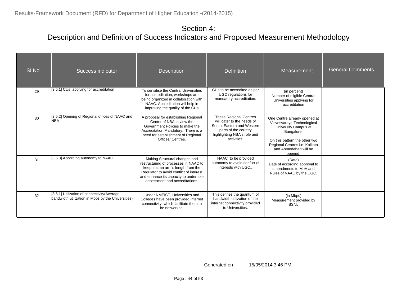| SI.No | Success indicator                                                                                 | <b>Description</b>                                                                                                                                                                                                                  | <b>Definition</b>                                                                                                                                               | <b>Measurement</b>                                                                                                                                                                                     | <b>General Comments</b> |
|-------|---------------------------------------------------------------------------------------------------|-------------------------------------------------------------------------------------------------------------------------------------------------------------------------------------------------------------------------------------|-----------------------------------------------------------------------------------------------------------------------------------------------------------------|--------------------------------------------------------------------------------------------------------------------------------------------------------------------------------------------------------|-------------------------|
| 29    | [3.5.1] CUs applying for accreditation                                                            | To sensitise the Central Universities<br>for accreditation, workshops are<br>being organized in collaboration with<br>NAAC. Accreditation will help in<br>improving the quality of the CUs                                          | CUs to be accredited as per<br>UGC regulations for<br>mandatory accreditation.                                                                                  | (in percent)<br>Number of eligible Central<br>Universities applying for<br>accreditation                                                                                                               |                         |
| 30    | [3.5.2] Opening of Regional offices of NAAC and<br><b>NBA</b>                                     | A proposal for establishing Regional<br>Center of NBA in view the<br>Government Policies to make the<br>Accreditation Mandatory. There is a<br>need for establishment of Regional<br>Offices/ Centres.                              | <b>These Regional Centres</b><br>will cater to the needs of<br>South, Eastern and Western<br>parts of the country<br>highlighting NBA's role and<br>activities. | One Centre already opened at<br>Visvesvaraya Technological<br>University Campus at<br>Bangalore.<br>On this pattern the other two<br>Regional Centres i.e. Kolkata<br>and Ahmedabad will be<br>opened. |                         |
| 31    | [3.5.3] According autonomy to NAAC                                                                | Making Structural changes and<br>restructuring of processes in NAAC to<br>keep it at an arm's length from the<br>Regulator to avoid conflict of interest<br>and enhance its capacity to undertake<br>assessment and accreditations. | NAAC to be provided<br>autonomy to avoid conflict of<br>interests with UGC                                                                                      | (Date)<br>Date of according approval to<br>amendments to MoA and<br>Rules of NAAC by the UGC.                                                                                                          |                         |
| 32    | [3.6.1] Utilization of connectivity(Average<br>bandwidth utilization in Mbps by the Universities) | Under NMEICT. Universities and<br>Colleges have been provided internet<br>connectivity, which facilitate them to<br>be networked.                                                                                                   | This defines the quantum of<br>bandwidth utilization of the<br>internet connectivity provided<br>to Universities.                                               | (in Mbps)<br>Measurement provided by<br><b>BSNL</b>                                                                                                                                                    |                         |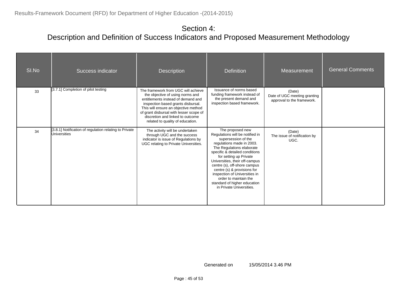| SI.No | Success indicator                                                      | <b>Description</b>                                                                                                                                                                                                                                                                                             | <b>Definition</b>                                                                                                                                                                                                                                                                                                                                                                                                       | Measurement                                                          | <b>General Comments</b> |
|-------|------------------------------------------------------------------------|----------------------------------------------------------------------------------------------------------------------------------------------------------------------------------------------------------------------------------------------------------------------------------------------------------------|-------------------------------------------------------------------------------------------------------------------------------------------------------------------------------------------------------------------------------------------------------------------------------------------------------------------------------------------------------------------------------------------------------------------------|----------------------------------------------------------------------|-------------------------|
| 33    | [3.7.1] Completion of pilot testing                                    | The framework from UGC will achieve<br>the objective of using norms and<br>entitlements instead of demand and<br>inspection based grants disbursal.<br>This will ensure an objective method<br>of grant disbursal with lesser scope of<br>discretion and linked to outcome<br>related to quality of education. | Issuance of norms based<br>funding framework instead of<br>the present demand and<br>inspection based framework.                                                                                                                                                                                                                                                                                                        | (Date)<br>Date of UGC meeting granting<br>approval to the framework. |                         |
| 34    | [3.8.1] Notification of regulation relating to Private<br>Universities | The activity will be undertaken<br>through UGC and the success<br>indicator is issue of Regulations by<br>UGC relating to Private Universities.                                                                                                                                                                | The proposed new<br>Regulations will be notified in<br>supersession of the<br>regulations made in 2003.<br>The Regulations elaborate<br>specific & detailed conditions<br>for setting up Private<br>Universities, their off-campus<br>centre (s), off-shore campus<br>centre (s) & provisions for<br>inspection of Universities in<br>order to maintain the<br>standard of higher education<br>in Private Universities. | (Date)<br>The issue of notification by<br>UGC.                       |                         |

Generated on 15/05/2014 3.46 PM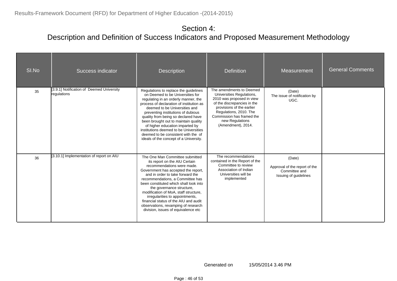| SI.No | Success indicator                                        | Description                                                                                                                                                                                                                                                                                                                                                                                                                                                                             | <b>Definition</b>                                                                                                                                                                                                                              | Measurement                                                                       | <b>General Comments</b> |
|-------|----------------------------------------------------------|-----------------------------------------------------------------------------------------------------------------------------------------------------------------------------------------------------------------------------------------------------------------------------------------------------------------------------------------------------------------------------------------------------------------------------------------------------------------------------------------|------------------------------------------------------------------------------------------------------------------------------------------------------------------------------------------------------------------------------------------------|-----------------------------------------------------------------------------------|-------------------------|
| 35    | [3.9.1] Notification of Deemed University<br>regulations | Regulations to replace the guidelines<br>on Deemed to be Universities for<br>regulating in an orderly manner, the<br>process of declaration of institution as<br>deemed to be Universities and<br>preventing institutions of dubious<br>quality from being so declared have<br>been brought out to maintain quality<br>of higher education imparted by<br>institutions deemed to be Universities<br>deemed to be consistent with the of<br>ideals of the concept of a University.       | The amendments to Deemed<br>Universities Regulations,<br>2010 was proposed in view<br>of the discrepancies in the<br>provisions of the earlier<br>Regulations, 2010. The<br>Commission has framed the<br>new Regulations<br>(Amendment), 2014. | (Date)<br>The issue of notification by<br>UGC.                                    |                         |
| 36    | [3.10.1] Implementation of report on AIU                 | The One Man Committee submitted<br>its report on the AIU Certain<br>recommendations were made.<br>Government has accepted the report,<br>and in order to take forward the<br>recommendations, a Committee has<br>been constituted which shall look into<br>the governance structure,<br>modification of MoA, staff structure,<br>irregularities to appointments,<br>financial status of the AIU and audit<br>observations, revamping of research<br>division, issues of equivalence etc | The recommendations<br>contained in the Report of the<br>Committee to review<br>Association of Indian<br>Universities will be<br>implemented                                                                                                   | (Date)<br>Approval of the report of the<br>Committee and<br>Issuing of guidelines |                         |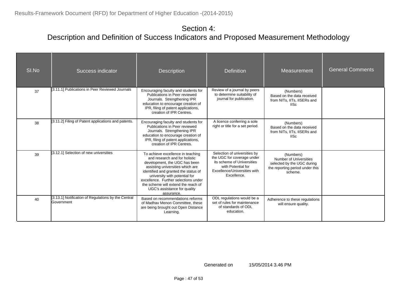| SI.No | Success indicator                                                 | <b>Description</b>                                                                                                                                                                                                                                                                                                                            | <b>Definition</b>                                                                                                                                             | Measurement                                                                                                            | <b>General Comments</b> |
|-------|-------------------------------------------------------------------|-----------------------------------------------------------------------------------------------------------------------------------------------------------------------------------------------------------------------------------------------------------------------------------------------------------------------------------------------|---------------------------------------------------------------------------------------------------------------------------------------------------------------|------------------------------------------------------------------------------------------------------------------------|-------------------------|
| 37    | [3.11.1] Publications in Peer Reviewed Journals                   | Encouraging faculty and students for<br>Publications in Peer reviewed<br>Journals. Strengthening IPR<br>education to encourage creation of<br>IPR, filing of patent applications,<br>creation of IPR Centres.                                                                                                                                 | Review of a journal by peers<br>to determine suitability of<br>journal for publication.                                                                       | (Numbers)<br>Based on the data received<br>from NITs, IITs, IISERs and<br><b>IISc</b>                                  |                         |
| 38    | [3.11.2] Filing of Patent applications and patents.               | Encouraging faculty and students for<br>Publications in Peer reviewed<br>Journals. Strengthening IPR<br>education to encourage creation of<br>IPR, filing of patent applications,<br>creation of IPR Centres.                                                                                                                                 | A licence conferring a sole<br>right or title for a set period.                                                                                               | (Numbers)<br>Based on the data received<br>from NITs, IITs, IISERs and<br><b>IISc</b>                                  |                         |
| 39    | [3.12.1] Selection of new universities                            | To achieve excellence in teaching<br>and research and for holistic<br>development, the UGC has been<br>assisting universities which are<br>identified and granted the status of<br>university with potential for<br>excellence. Further selections under<br>the scheme will extend the reach of<br>UGC's assistance for quality<br>assurance. | Selection of universities by<br>the UGC for coverage under<br>its scheme of Universities<br>with Potential for<br>Excellence/Universities with<br>Excellence. | (Numbers)<br><b>Number of Universities</b><br>selected by the UGC during<br>the reporting period under this<br>scheme. |                         |
| 40    | [3.13.1] Notification of Regulations by the Central<br>Government | Based on recommendations reforms<br>of Madhav Menon Committee, these<br>are being brought out Open Distance<br>Learning.                                                                                                                                                                                                                      | ODL regulations would be a<br>set of rules for maintenance<br>of standards of ODL<br>education.                                                               | Adherence to these regulations<br>will ensure quality.                                                                 |                         |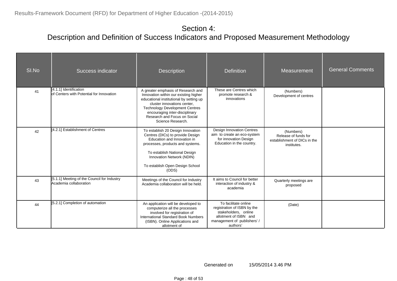| SI.No | Success indicator                                                     | <b>Description</b>                                                                                                                                                                                                                                                                    | <b>Definition</b>                                                                                                                               | Measurement                                                                      | <b>General Comments</b> |
|-------|-----------------------------------------------------------------------|---------------------------------------------------------------------------------------------------------------------------------------------------------------------------------------------------------------------------------------------------------------------------------------|-------------------------------------------------------------------------------------------------------------------------------------------------|----------------------------------------------------------------------------------|-------------------------|
| 41    | [4.1.1] Identification<br>of Centers with Potential for Innovation    | A greater emphasis of Research and<br>Innovation within our existing higher<br>educational institutional by setting up<br>cluster innovations center,<br><b>Technology Development Centres</b><br>encouraging inter-disciplinary<br>Research and Focus on Social<br>Science Research. | These are Centres which<br>promote research &<br>innovations                                                                                    | (Numbers)<br>Development of centres                                              |                         |
| 42    | [4.2.1] Establishment of Centres                                      | To establish 20 Design Innovation<br>Centres (DICs) to provide Design<br>Education and Innovation in<br>processes, products and systems.<br>To establish National Design<br>Innovation Network (NDIN)<br>To establish Open Design School<br>(ODS)                                     | Design Innovation Centres<br>aim to create an eco-system<br>for innovation Design<br>Education in the country.                                  | (Numbers)<br>Release of funds for<br>establishment of DICs in the<br>institutes. |                         |
| 43    | [5.1.1] Meeting of the Council for Industry<br>Academia collaboration | Meetings of the Council for Industry<br>Academia collaboration will be held.                                                                                                                                                                                                          | It aims to Council for better<br>interaction of industry &<br>academia                                                                          | Quarterly meetings are<br>proposed                                               |                         |
| 44    | [5.2.1] Completion of automation                                      | An application will be developed to<br>computerize all the processes<br>involved for registration of<br><b>International Standard Book Numbers</b><br>(ISBN). Online Applications and<br>allotment of                                                                                 | To facilitate online<br>registration of ISBN by the<br>stakeholders, online<br>allotment of ISBN and<br>management of publishers' /<br>authors' | (Date)                                                                           |                         |

Generated on 15/05/2014 3.46 PM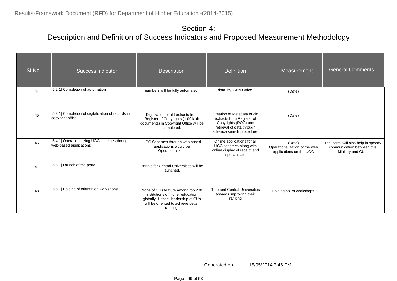| SI.No | Success indicator                                                      | <b>Description</b>                                                                                                                                            | <b>Definition</b>                                                                                                                          | <b>Measurement</b>                                                 | <b>General Comments</b>                                                                |
|-------|------------------------------------------------------------------------|---------------------------------------------------------------------------------------------------------------------------------------------------------------|--------------------------------------------------------------------------------------------------------------------------------------------|--------------------------------------------------------------------|----------------------------------------------------------------------------------------|
| 44    | [5.2.1] Completion of automation                                       | numbers will be fully automated.                                                                                                                              | data by ISBN Office.                                                                                                                       | (Date)                                                             |                                                                                        |
| 45    | [5.3.1] Completion of digitalization of records in<br>copyright office | Digitization of old extracts from<br>Register of Copyrights (1.00 lakh<br>documents) in Copyright Office will be<br>completed.                                | Creation of Metadata of old<br>extracts from Register of<br>Copyrights (ROC) and<br>retrieval of data through<br>advance search procedure. | (Date)                                                             |                                                                                        |
| 46    | [5.4.1] Operationalizing UGC schemes through<br>web-based applications | UGC Schemes through web based<br>applications would be<br>Operationalized.                                                                                    | Online applications for all<br>UGC schemes along with<br>online display of receipt and<br>disposal status.                                 | (Date)<br>Operationalization of the web<br>applications on the UGC | The Portal will also help in speedy<br>communication between this<br>Ministry and CUs. |
| 47    | [5.5.1] Launch of the portal                                           | Portals for Central Universities will be<br>launched.                                                                                                         |                                                                                                                                            |                                                                    |                                                                                        |
| 48    | [5.6.1] Holding of orientation workshops.                              | None of CUs feature among top 200<br>institutions of higher education<br>globally. Hence, leadership of CUs<br>will be oriented to achieve better<br>ranking. | To orient Central Universities<br>towards improving their<br>ranking                                                                       | Holding no. of workshops.                                          |                                                                                        |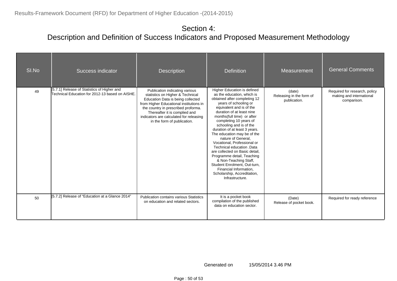| SI.No | Success indicator                                                                              | Description                                                                                                                                                                                                                                                                                          | <b>Definition</b>                                                                                                                                                                                                                                                                                                                                                                                                                                                                                                                                                                                                     | Measurement                                        | <b>General Comments</b>                                                  |
|-------|------------------------------------------------------------------------------------------------|------------------------------------------------------------------------------------------------------------------------------------------------------------------------------------------------------------------------------------------------------------------------------------------------------|-----------------------------------------------------------------------------------------------------------------------------------------------------------------------------------------------------------------------------------------------------------------------------------------------------------------------------------------------------------------------------------------------------------------------------------------------------------------------------------------------------------------------------------------------------------------------------------------------------------------------|----------------------------------------------------|--------------------------------------------------------------------------|
| 49    | [5.7.1] Release of Statistics of Higher and<br>Technical Education for 2012-13 based on AISHE. | Publication indicating various<br>statistics on Higher & Technical<br>Education Data is being collected<br>from Higher Educational institutions in<br>the country in prescribed proforma.<br>Thereafter it is complied and<br>indicators are calculated for releasing<br>in the form of publication. | Higher Education is defined<br>as the education, which is<br>obtained after completing 12<br>years of schooling or<br>equivalent and is of the<br>duration of at least nine<br>months(full time) or after<br>completing 10 years of<br>schooling and is of the<br>duration of at least 3 years.<br>The education may be of the<br>nature of General,<br>Vocational, Professional or<br>Technical education .Data<br>are collected on Basic detail.<br>Programme detail, Teaching<br>& Non-Teaching Staff,<br>Student Enrolment, Out-turn,<br>Financial Information,<br>Scholarship, Accreditation,<br>Infrastructure. | (date)<br>Releasing in the form of<br>publication. | Required for research, policy<br>making and international<br>comparison. |
| 50    | [5.7.2] Release of "Education at a Glance 2014"                                                | <b>Publication contains various Statistics</b><br>on education and related sectors.                                                                                                                                                                                                                  | It is a pocket book<br>compilation of the published<br>data on education sector.                                                                                                                                                                                                                                                                                                                                                                                                                                                                                                                                      | (Date)<br>Release of pocket book.                  | Required for ready reference                                             |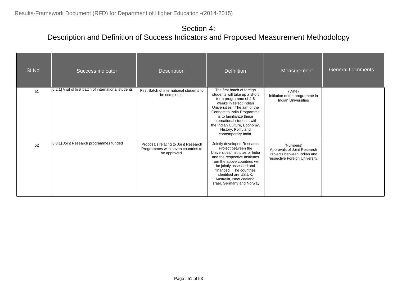| SI.No | <b>Success indicator</b>                               | <b>Description</b>                                                                         | <b>Definition</b>                                                                                                                                                                                                                                                                                                    | <b>Measurement</b>                                                                                        | <b>General Comments</b> |
|-------|--------------------------------------------------------|--------------------------------------------------------------------------------------------|----------------------------------------------------------------------------------------------------------------------------------------------------------------------------------------------------------------------------------------------------------------------------------------------------------------------|-----------------------------------------------------------------------------------------------------------|-------------------------|
| 51    | [6.2.1] Visit of first batch of international students | First Batch of international students to<br>be completed.                                  | The first batch of foreign<br>students will take up a short<br>term programme of 4-6<br>weeks in select Indian<br>Universities. The aim of the<br>Connect to India Programme<br>is to familiarize these<br>international students with<br>the Indian Culture, Economy,<br>History, Polity and<br>contemporary India. | (Date)<br>Initiation of the programme in<br><b>Indian Universities</b>                                    |                         |
| 52    | [6.3.1] Joint Research programmes funded               | Proposals relating to Joint Research<br>Programmes with seven countries to<br>be approved. | Jointly developed Research<br>Project between the<br>Universities/Institutes of India<br>and the respective Institutes<br>from the above countries will<br>be jointly assessed and<br>financed. The countries<br>identified are US, UK,<br>Australia, New Zealand,<br>Israel, Germany and Norway                     | (Numbers)<br>Approvals of Joint Research<br>Projects between Indian and<br>respective Foreign University. |                         |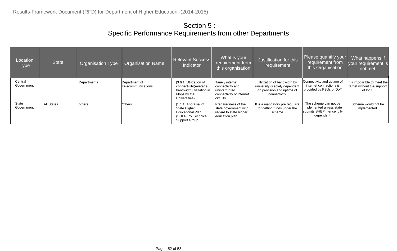#### Section 5 : Specific Performance Requirements from other Departments

| Location<br>Type      | <b>State</b> | <b>Organisation Type</b> | Organisation Name                   | <b>Relevant Success</b><br>Indicator                                                                       | What is your<br>requirement from<br>this organisation                                        | Justification for this<br>requirement                                                                       | Please quantify your<br>requirement from<br>this Organisation                                | What happens if<br>your requirement is<br>not met.                    |
|-----------------------|--------------|--------------------------|-------------------------------------|------------------------------------------------------------------------------------------------------------|----------------------------------------------------------------------------------------------|-------------------------------------------------------------------------------------------------------------|----------------------------------------------------------------------------------------------|-----------------------------------------------------------------------|
| Central<br>Government |              | Departments              | Department of<br>Telecommunications | [3.6.1] Utilization of<br>connectivity(Average<br>bandwidth utilization in<br>Mbps by the<br>Universities) | Timely internet<br>connectivity and<br>uninterrupted<br>connectivity of internet<br>circuits | Utilization of bandwidth by<br>university is solely dependent<br>on provision and uptime of<br>connectivity | Connectivity and uptime of<br>internet connections is<br>provided by PSUs of DoT             | It is impossible to meet the<br>target without the support<br>of DoT. |
| State<br>Government   | All States   | others                   | <b>Others</b>                       | [1.1.1] Appraisal of<br>State Higher<br><b>Educational Plan</b><br>(SHEP) by Technical<br>Support Group    | Preparedness of the<br>state government with<br>regard to state higher<br>education plan     | It is a mandatory pre requisite<br>for getting funds under the<br>scheme                                    | The scheme can not be<br>implemented unless state<br>submits SHEP, hence fully<br>dependent. | Scheme would not be<br>implemented.                                   |